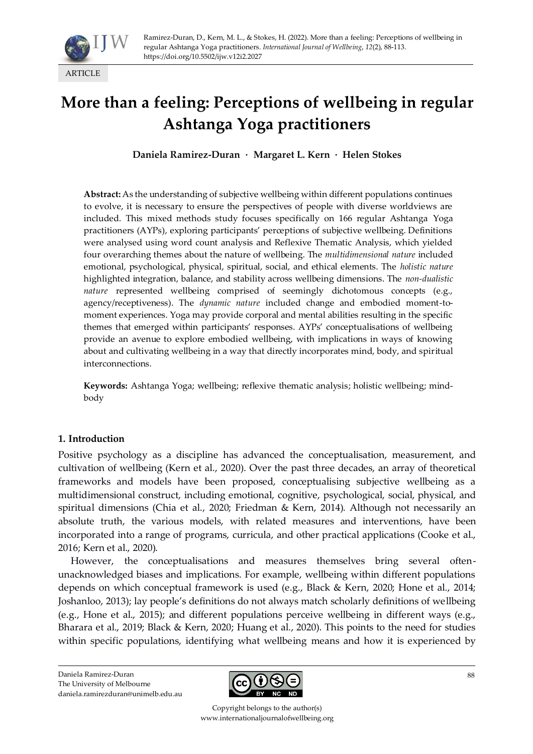

# **More than a feeling: Perceptions of wellbeing in regular Ashtanga Yoga practitioners**

**Daniela Ramirez-Duran · Margaret L. Kern · Helen Stokes**

**Abstract:** As the understanding of subjective wellbeing within different populations continues to evolve, it is necessary to ensure the perspectives of people with diverse worldviews are included. This mixed methods study focuses specifically on 166 regular Ashtanga Yoga practitioners (AYPs), exploring participants' perceptions of subjective wellbeing. Definitions were analysed using word count analysis and Reflexive Thematic Analysis, which yielded four overarching themes about the nature of wellbeing. The *multidimensional nature* included emotional, psychological, physical, spiritual, social, and ethical elements. The *holistic nature*  highlighted integration, balance, and stability across wellbeing dimensions. The *non-dualistic nature* represented wellbeing comprised of seemingly dichotomous concepts (e.g., agency/receptiveness). The *dynamic nature* included change and embodied moment-tomoment experiences. Yoga may provide corporal and mental abilities resulting in the specific themes that emerged within participants' responses. AYPs' conceptualisations of wellbeing provide an avenue to explore embodied wellbeing, with implications in ways of knowing about and cultivating wellbeing in a way that directly incorporates mind, body, and spiritual interconnections.

**Keywords:** Ashtanga Yoga; wellbeing; reflexive thematic analysis; holistic wellbeing; mindbody

#### **1. Introduction**

Positive psychology as a discipline has advanced the conceptualisation, measurement, and cultivation of wellbeing (Kern et al., 2020). Over the past three decades, an array of theoretical frameworks and models have been proposed, conceptualising subjective wellbeing as a multidimensional construct, including emotional, cognitive, psychological, social, physical, and spiritual dimensions (Chia et al., 2020; Friedman & Kern, 2014). Although not necessarily an absolute truth, the various models, with related measures and interventions, have been incorporated into a range of programs, curricula, and other practical applications (Cooke et al., 2016; Kern et al., 2020).

However, the conceptualisations and measures themselves bring several oftenunacknowledged biases and implications. For example, wellbeing within different populations depends on which conceptual framework is used (e.g., Black & Kern, 2020; Hone et al., 2014; Joshanloo, 2013); lay people's definitions do not always match scholarly definitions of wellbeing (e.g., Hone et al., 2015); and different populations perceive wellbeing in different ways (e.g., Bharara et al., 2019; Black & Kern, 2020; Huang et al., 2020). This points to the need for studies within specific populations, identifying what wellbeing means and how it is experienced by

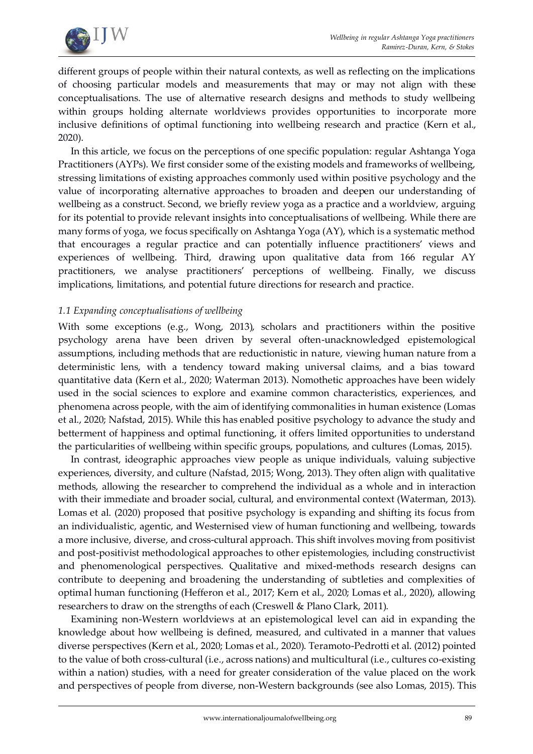

different groups of people within their natural contexts, as well as reflecting on the implications of choosing particular models and measurements that may or may not align with these conceptualisations. The use of alternative research designs and methods to study wellbeing within groups holding alternate worldviews provides opportunities to incorporate more inclusive definitions of optimal functioning into wellbeing research and practice (Kern et al., 2020).

In this article, we focus on the perceptions of one specific population: regular Ashtanga Yoga Practitioners (AYPs). We first consider some of the existing models and frameworks of wellbeing, stressing limitations of existing approaches commonly used within positive psychology and the value of incorporating alternative approaches to broaden and deepen our understanding of wellbeing as a construct. Second, we briefly review yoga as a practice and a worldview, arguing for its potential to provide relevant insights into conceptualisations of wellbeing. While there are many forms of yoga, we focus specifically on Ashtanga Yoga (AY), which is a systematic method that encourages a regular practice and can potentially influence practitioners' views and experiences of wellbeing. Third, drawing upon qualitative data from 166 regular AY practitioners, we analyse practitioners' perceptions of wellbeing. Finally, we discuss implications, limitations, and potential future directions for research and practice.

## *1.1 Expanding conceptualisations of wellbeing*

With some exceptions (e.g., Wong, 2013), scholars and practitioners within the positive psychology arena have been driven by several often-unacknowledged epistemological assumptions, including methods that are reductionistic in nature, viewing human nature from a deterministic lens, with a tendency toward making universal claims, and a bias toward quantitative data (Kern et al., 2020; Waterman 2013). Nomothetic approaches have been widely used in the social sciences to explore and examine common characteristics, experiences, and phenomena across people, with the aim of identifying commonalities in human existence (Lomas et al., 2020; Nafstad, 2015). While this has enabled positive psychology to advance the study and betterment of happiness and optimal functioning, it offers limited opportunities to understand the particularities of wellbeing within specific groups, populations, and cultures (Lomas, 2015).

In contrast, ideographic approaches view people as unique individuals, valuing subjective experiences, diversity, and culture (Nafstad, 2015; Wong, 2013). They often align with qualitative methods, allowing the researcher to comprehend the individual as a whole and in interaction with their immediate and broader social, cultural, and environmental context (Waterman, 2013). Lomas et al. (2020) proposed that positive psychology is expanding and shifting its focus from an individualistic, agentic, and Westernised view of human functioning and wellbeing, towards a more inclusive, diverse, and cross-cultural approach. This shift involves moving from positivist and post-positivist methodological approaches to other epistemologies, including constructivist and phenomenological perspectives. Qualitative and mixed-methods research designs can contribute to deepening and broadening the understanding of subtleties and complexities of optimal human functioning (Hefferon et al., 2017; Kern et al., 2020; Lomas et al., 2020), allowing researchers to draw on the strengths of each (Creswell & Plano Clark, 2011).

Examining non-Western worldviews at an epistemological level can aid in expanding the knowledge about how wellbeing is defined, measured, and cultivated in a manner that values diverse perspectives (Kern et al., 2020; Lomas et al., 2020). Teramoto-Pedrotti et al. (2012) pointed to the value of both cross-cultural (i.e., across nations) and multicultural (i.e., cultures co-existing within a nation) studies, with a need for greater consideration of the value placed on the work and perspectives of people from diverse, non-Western backgrounds (see also Lomas, 2015). This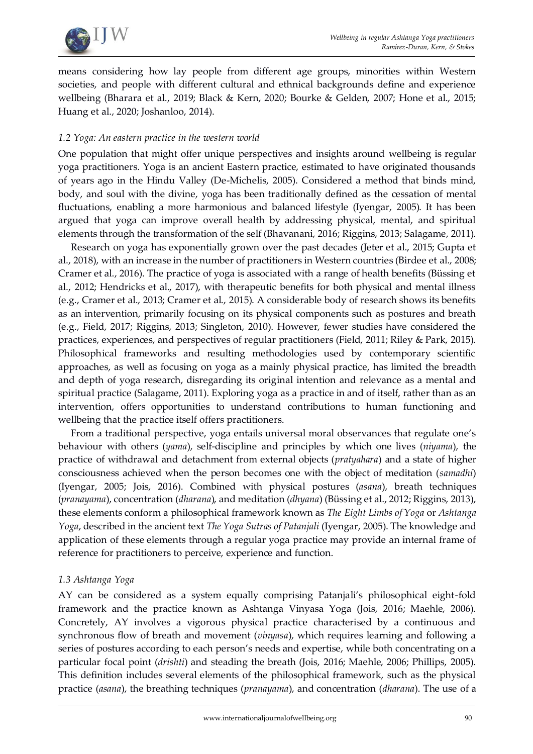

means considering how lay people from different age groups, minorities within Western societies, and people with different cultural and ethnical backgrounds define and experience wellbeing (Bharara et al., 2019; Black & Kern, 2020; Bourke & Gelden, 2007; Hone et al., 2015; Huang et al., 2020; Joshanloo, 2014).

## *1.2 Yoga: An eastern practice in the western world*

One population that might offer unique perspectives and insights around wellbeing is regular yoga practitioners. Yoga is an ancient Eastern practice, estimated to have originated thousands of years ago in the Hindu Valley (De-Michelis, 2005). Considered a method that binds mind, body, and soul with the divine, yoga has been traditionally defined as the cessation of mental fluctuations, enabling a more harmonious and balanced lifestyle (Iyengar, 2005). It has been argued that yoga can improve overall health by addressing physical, mental, and spiritual elements through the transformation of the self (Bhavanani, 2016; Riggins, 2013; Salagame, 2011).

Research on yoga has exponentially grown over the past decades (Jeter et al., 2015; Gupta et al., 2018), with an increase in the number of practitioners in Western countries (Birdee et al., 2008; Cramer et al., 2016). The practice of yoga is associated with a range of health benefits (Büssing et al., 2012; Hendricks et al., 2017), with therapeutic benefits for both physical and mental illness (e.g., Cramer et al., 2013; Cramer et al., 2015). A considerable body of research shows its benefits as an intervention, primarily focusing on its physical components such as postures and breath (e.g., Field, 2017; Riggins, 2013; Singleton, 2010). However, fewer studies have considered the practices, experiences, and perspectives of regular practitioners (Field, 2011; Riley & Park, 2015). Philosophical frameworks and resulting methodologies used by contemporary scientific approaches, as well as focusing on yoga as a mainly physical practice, has limited the breadth and depth of yoga research, disregarding its original intention and relevance as a mental and spiritual practice (Salagame, 2011). Exploring yoga as a practice in and of itself, rather than as an intervention, offers opportunities to understand contributions to human functioning and wellbeing that the practice itself offers practitioners.

From a traditional perspective, yoga entails universal moral observances that regulate one's behaviour with others (*yama*), self-discipline and principles by which one lives (*niyama*), the practice of withdrawal and detachment from external objects (*pratyahara*) and a state of higher consciousness achieved when the person becomes one with the object of meditation (*samadhi*) (Iyengar, 2005; Jois, 2016). Combined with physical postures (*asana*), breath techniques (*pranayama*), concentration (*dharana*), and meditation (*dhyana*) (Büssing et al., 2012; Riggins, 2013), these elements conform a philosophical framework known as *The Eight Limbs of Yoga* or *Ashtanga Yoga*, described in the ancient text *The Yoga Sutras of Patanjali* (Iyengar, 2005). The knowledge and application of these elements through a regular yoga practice may provide an internal frame of reference for practitioners to perceive, experience and function.

#### *1.3 Ashtanga Yoga*

AY can be considered as a system equally comprising Patanjali's philosophical eight-fold framework and the practice known as Ashtanga Vinyasa Yoga (Jois, 2016; Maehle, 2006). Concretely, AY involves a vigorous physical practice characterised by a continuous and synchronous flow of breath and movement (*vinyasa*), which requires learning and following a series of postures according to each person's needs and expertise, while both concentrating on a particular focal point (*drishti*) and steading the breath (Jois, 2016; Maehle, 2006; Phillips, 2005). This definition includes several elements of the philosophical framework, such as the physical practice (*asana*), the breathing techniques (*pranayama*), and concentration (*dharana*). The use of a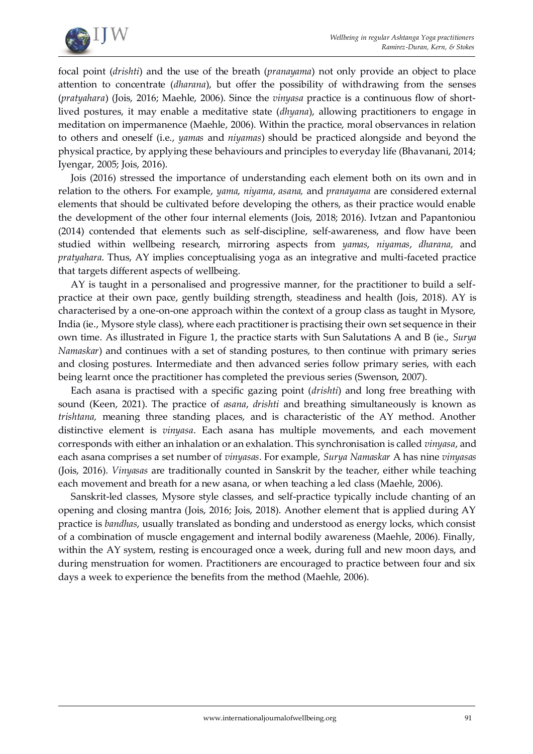

focal point (*drishti*) and the use of the breath (*pranayama*) not only provide an object to place attention to concentrate (*dharana*), but offer the possibility of withdrawing from the senses (*pratyahara*) (Jois, 2016; Maehle, 2006). Since the *vinyasa* practice is a continuous flow of shortlived postures, it may enable a meditative state (*dhyana*), allowing practitioners to engage in meditation on impermanence (Maehle, 2006). Within the practice, moral observances in relation to others and oneself (i.e., *yamas* and *niyamas*) should be practiced alongside and beyond the physical practice, by applying these behaviours and principles to everyday life (Bhavanani, 2014; Iyengar, 2005; Jois, 2016).

Jois (2016) stressed the importance of understanding each element both on its own and in relation to the others. For example, *yama*, *niyama*, *asana,* and *pranayama* are considered external elements that should be cultivated before developing the others, as their practice would enable the development of the other four internal elements (Jois, 2018; 2016). Ivtzan and Papantoniou (2014) contended that elements such as self-discipline, self-awareness, and flow have been studied within wellbeing research, mirroring aspects from *yamas*, *niyamas*, *dharana,* and *pratyahara*. Thus, AY implies conceptualising yoga as an integrative and multi-faceted practice that targets different aspects of wellbeing.

AY is taught in a personalised and progressive manner, for the practitioner to build a selfpractice at their own pace, gently building strength, steadiness and health (Jois, 2018). AY is characterised by a one-on-one approach within the context of a group class as taught in Mysore, India (ie., Mysore style class), where each practitioner is practising their own set sequence in their own time. As illustrated in Figure 1, the practice starts with Sun Salutations A and B (ie., *Surya Namaskar*) and continues with a set of standing postures, to then continue with primary series and closing postures. Intermediate and then advanced series follow primary series, with each being learnt once the practitioner has completed the previous series (Swenson, 2007).

Each asana is practised with a specific gazing point (*drishti*) and long free breathing with sound (Keen, 2021). The practice of *asana*, *drishti* and breathing simultaneously is known as *trishtana,* meaning three standing places, and is characteristic of the AY method. Another distinctive element is *vinyasa*. Each asana has multiple movements, and each movement corresponds with either an inhalation or an exhalation. This synchronisation is called *vinyasa*, and each asana comprises a set number of *vinyasas*. For example, *Surya Namaskar* A has nine *vinyasas* (Jois, 2016). *Vinyasas* are traditionally counted in Sanskrit by the teacher, either while teaching each movement and breath for a new asana, or when teaching a led class (Maehle, 2006).

Sanskrit-led classes, Mysore style classes, and self-practice typically include chanting of an opening and closing mantra (Jois, 2016; Jois, 2018). Another element that is applied during AY practice is *bandhas*, usually translated as bonding and understood as energy locks, which consist of a combination of muscle engagement and internal bodily awareness (Maehle, 2006). Finally, within the AY system, resting is encouraged once a week, during full and new moon days, and during menstruation for women. Practitioners are encouraged to practice between four and six days a week to experience the benefits from the method (Maehle, 2006).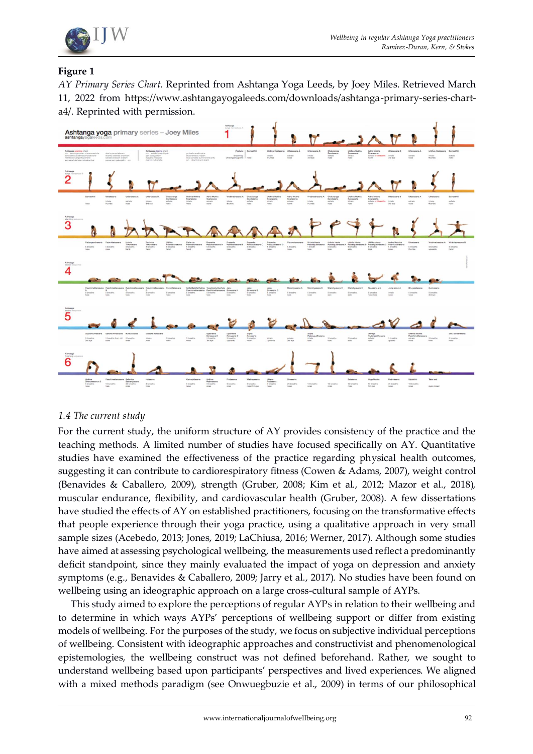

## **Figure 1**

*AY Primary Series Chart.* Reprinted from Ashtanga Yoga Leeds, by Joey Miles. Retrieved March 11, 2022 from [https://www.ashtangayogaleeds.com/downloads/ashtanga-primary-series-chart](https://www.ashtangayogaleeds.com/downloads/ashtanga-primary-series-chart-a4/)[a4/.](https://www.ashtangayogaleeds.com/downloads/ashtanga-primary-series-chart-a4/) Reprinted with permission.



## *1.4 The current study*

For the current study, the uniform structure of AY provides consistency of the practice and the teaching methods. A limited number of studies have focused specifically on AY. Quantitative studies have examined the effectiveness of the practice regarding physical health outcomes, suggesting it can contribute to cardiorespiratory fitness (Cowen & Adams, 2007), weight control (Benavides & Caballero, 2009), strength (Gruber, 2008; Kim et al., 2012; Mazor et al., 2018), muscular endurance, flexibility, and cardiovascular health (Gruber, 2008). A few dissertations have studied the effects of AY on established practitioners, focusing on the transformative effects that people experience through their yoga practice, using a qualitative approach in very small sample sizes (Acebedo, 2013; Jones, 2019; LaChiusa, 2016; Werner, 2017). Although some studies have aimed at assessing psychological wellbeing, the measurements used reflect a predominantly deficit standpoint, since they mainly evaluated the impact of yoga on depression and anxiety symptoms (e.g., Benavides & Caballero, 2009; Jarry et al., 2017). No studies have been found on wellbeing using an ideographic approach on a large cross-cultural sample of AYPs.

This study aimed to explore the perceptions of regular AYPs in relation to their wellbeing and to determine in which ways AYPs' perceptions of wellbeing support or differ from existing models of wellbeing. For the purposes of the study, we focus on subjective individual perceptions of wellbeing. Consistent with ideographic approaches and constructivist and phenomenological epistemologies, the wellbeing construct was not defined beforehand. Rather, we sought to understand wellbeing based upon participants' perspectives and lived experiences. We aligned with a mixed methods paradigm (see Onwuegbuzie et al., 2009) in terms of our philosophical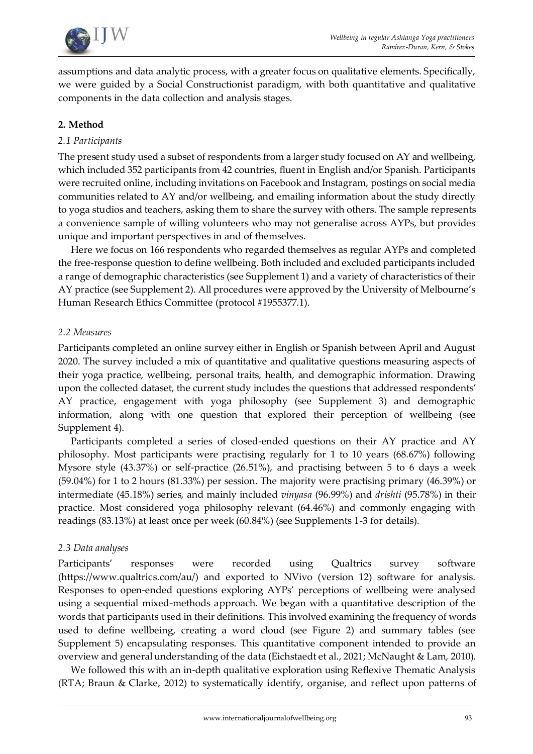

assumptions and data analytic process, with a greater focus on qualitative elements. Specifically, we were guided by a Social Constructionist paradigm, with both quantitative and qualitative components in the data collection and analysis stages.

## **2. Method**

#### *2.1 Participants*

The present study used a subset of respondents from a larger study focused on AY and wellbeing, which included 352 participants from 42 countries, fluent in English and/or Spanish. Participants were recruited online, including invitations on Facebook and Instagram, postings on social media communities related to AY and/or wellbeing, and emailing information about the study directly to yoga studios and teachers, asking them to share the survey with others. The sample represents a convenience sample of willing volunteers who may not generalise across AYPs, but provides unique and important perspectives in and of themselves.

Here we focus on 166 respondents who regarded themselves as regular AYPs and completed the free-response question to define wellbeing. Both included and excluded participants included a range of demographic characteristics (see Supplement 1) and a variety of characteristics of their AY practice (see Supplement 2). All procedures were approved by the University of Melbourne's Human Research Ethics Committee (protocol #1955377.1).

#### *2.2 Measures*

Participants completed an online survey either in English or Spanish between April and August 2020. The survey included a mix of quantitative and qualitative questions measuring aspects of their yoga practice, wellbeing, personal traits, health, and demographic information. Drawing upon the collected dataset, the current study includes the questions that addressed respondents' AY practice, engagement with yoga philosophy (see Supplement 3) and demographic information, along with one question that explored their perception of wellbeing (see Supplement 4).

Participants completed a series of closed-ended questions on their AY practice and AY philosophy. Most participants were practising regularly for 1 to 10 years (68.67%) following Mysore style (43.37%) or self-practice (26.51%), and practising between 5 to 6 days a week (59.04%) for 1 to 2 hours (81.33%) per session. The majority were practising primary (46.39%) or intermediate (45.18%) series, and mainly included *vinyasa* (96.99%) and *drishti* (95.78%) in their practice. Most considered yoga philosophy relevant (64.46%) and commonly engaging with readings (83.13%) at least once per week (60.84%) (see Supplements 1-3 for details).

#### *2.3 Data analyses*

Participants' responses were recorded using Qualtrics survey software [\(https://www.qualtrics.com/au/\)](https://www.qualtrics.com/au/) and exported to NVivo (version 12) software for analysis. Responses to open-ended questions exploring AYPs' perceptions of wellbeing were analysed using a sequential mixed-methods approach. We began with a quantitative description of the words that participants used in their definitions. This involved examining the frequency of words used to define wellbeing, creating a word cloud (see Figure 2) and summary tables (see Supplement 5) encapsulating responses. This quantitative component intended to provide an overview and general understanding of the data (Eichstaedt et al., 2021; McNaught & Lam, 2010).

We followed this with an in-depth qualitative exploration using Reflexive Thematic Analysis (RTA; Braun & Clarke, 2012) to systematically identify, organise, and reflect upon patterns of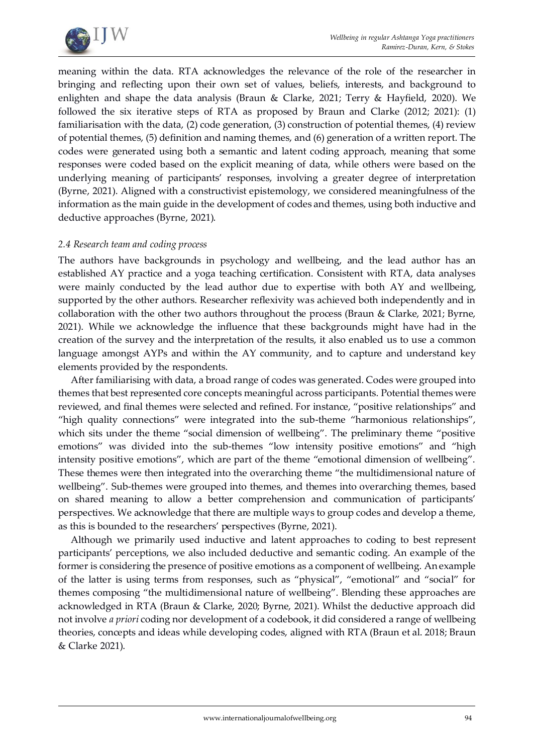

meaning within the data. RTA acknowledges the relevance of the role of the researcher in bringing and reflecting upon their own set of values, beliefs, interests, and background to enlighten and shape the data analysis (Braun & Clarke, 2021; Terry & Hayfield, 2020). We followed the six iterative steps of RTA as proposed by Braun and Clarke (2012; 2021): (1) familiarisation with the data, (2) code generation, (3) construction of potential themes, (4) review of potential themes, (5) definition and naming themes, and (6) generation of a written report. The codes were generated using both a semantic and latent coding approach, meaning that some responses were coded based on the explicit meaning of data, while others were based on the underlying meaning of participants' responses, involving a greater degree of interpretation (Byrne, 2021). Aligned with a constructivist epistemology, we considered meaningfulness of the information as the main guide in the development of codes and themes, using both inductive and deductive approaches (Byrne, 2021).

#### *2.4 Research team and coding process*

The authors have backgrounds in psychology and wellbeing, and the lead author has an established AY practice and a yoga teaching certification. Consistent with RTA, data analyses were mainly conducted by the lead author due to expertise with both AY and wellbeing, supported by the other authors. Researcher reflexivity was achieved both independently and in collaboration with the other two authors throughout the process (Braun & Clarke, 2021; Byrne, 2021). While we acknowledge the influence that these backgrounds might have had in the creation of the survey and the interpretation of the results, it also enabled us to use a common language amongst AYPs and within the AY community, and to capture and understand key elements provided by the respondents.

After familiarising with data, a broad range of codes was generated. Codes were grouped into themes that best represented core concepts meaningful across participants. Potential themes were reviewed, and final themes were selected and refined. For instance, "positive relationships" and "high quality connections" were integrated into the sub-theme "harmonious relationships", which sits under the theme "social dimension of wellbeing". The preliminary theme "positive emotions" was divided into the sub-themes "low intensity positive emotions" and "high intensity positive emotions", which are part of the theme "emotional dimension of wellbeing". These themes were then integrated into the overarching theme "the multidimensional nature of wellbeing". Sub-themes were grouped into themes, and themes into overarching themes, based on shared meaning to allow a better comprehension and communication of participants' perspectives. We acknowledge that there are multiple ways to group codes and develop a theme, as this is bounded to the researchers' perspectives (Byrne, 2021).

Although we primarily used inductive and latent approaches to coding to best represent participants' perceptions, we also included deductive and semantic coding. An example of the former is considering the presence of positive emotions as a component of wellbeing. An example of the latter is using terms from responses, such as "physical", "emotional" and "social" for themes composing "the multidimensional nature of wellbeing". Blending these approaches are acknowledged in RTA (Braun & Clarke, 2020; Byrne, 2021). Whilst the deductive approach did not involve *a priori* coding nor development of a codebook, it did considered a range of wellbeing theories, concepts and ideas while developing codes, aligned with RTA (Braun et al. 2018; Braun & Clarke 2021).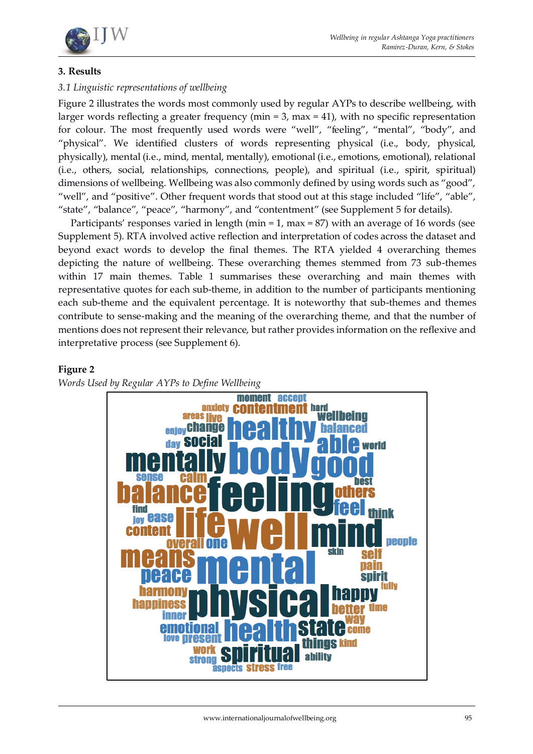

#### **3. Results**

## *3.1 Linguistic representations of wellbeing*

Figure 2 illustrates the words most commonly used by regular AYPs to describe wellbeing, with larger words reflecting a greater frequency (min =  $3$ , max =  $41$ ), with no specific representation for colour. The most frequently used words were "well", "feeling", "mental", "body", and "physical". We identified clusters of words representing physical (i.e., body, physical, physically), mental (i.e., mind, mental, mentally), emotional (i.e., emotions, emotional), relational (i.e., others, social, relationships, connections, people), and spiritual (i.e., spirit, spiritual) dimensions of wellbeing. Wellbeing was also commonly defined by using words such as "good", "well", and "positive". Other frequent words that stood out at this stage included "life", "able", "state", "balance", "peace", "harmony", and "contentment" (see Supplement 5 for details).

Participants' responses varied in length (min = 1, max = 87) with an average of 16 words (see Supplement 5). RTA involved active reflection and interpretation of codes across the dataset and beyond exact words to develop the final themes. The RTA yielded 4 overarching themes depicting the nature of wellbeing. These overarching themes stemmed from 73 sub-themes within 17 main themes. Table 1 summarises these overarching and main themes with representative quotes for each sub-theme, in addition to the number of participants mentioning each sub-theme and the equivalent percentage. It is noteworthy that sub-themes and themes contribute to sense-making and the meaning of the overarching theme, and that the number of mentions does not represent their relevance, but rather provides information on the reflexive and interpretative process (see Supplement 6).

#### **Figure 2**

*Words Used by Regular AYPs to Define Wellbeing*

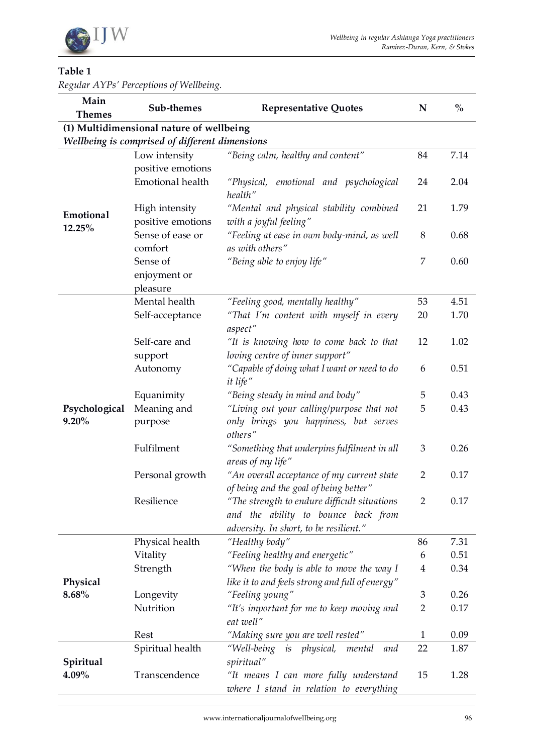

## **Table 1**

*Regular AYPs' Perceptions of Wellbeing.*

| Main<br><b>Themes</b> | Sub-themes                                                                                 | <b>Representative Quotes</b>                                                     | $\mathbf N$    | $\frac{0}{0}$ |  |  |
|-----------------------|--------------------------------------------------------------------------------------------|----------------------------------------------------------------------------------|----------------|---------------|--|--|
|                       |                                                                                            |                                                                                  |                |               |  |  |
|                       | (1) Multidimensional nature of wellbeing<br>Wellbeing is comprised of different dimensions |                                                                                  |                |               |  |  |
|                       | Low intensity                                                                              | "Being calm, healthy and content"                                                | 84             | 7.14          |  |  |
|                       | positive emotions                                                                          |                                                                                  |                |               |  |  |
| Emotional<br>12.25%   | Emotional health                                                                           | "Physical, emotional and psychological<br>health"                                | 24             | 2.04          |  |  |
|                       | High intensity                                                                             | "Mental and physical stability combined                                          | 21             | 1.79          |  |  |
|                       | positive emotions                                                                          | with a joyful feeling"                                                           |                |               |  |  |
|                       | Sense of ease or                                                                           | "Feeling at ease in own body-mind, as well                                       | $8\,$          | 0.68          |  |  |
|                       | comfort                                                                                    | as with others"                                                                  |                |               |  |  |
|                       | Sense of                                                                                   | "Being able to enjoy life"                                                       | 7              | 0.60          |  |  |
|                       | enjoyment or                                                                               |                                                                                  |                |               |  |  |
|                       | pleasure                                                                                   |                                                                                  |                |               |  |  |
|                       | Mental health                                                                              | "Feeling good, mentally healthy"                                                 | 53             | 4.51          |  |  |
|                       | Self-acceptance                                                                            | "That I'm content with myself in every<br>aspect"                                | 20             | 1.70          |  |  |
|                       | Self-care and                                                                              | "It is knowing how to come back to that                                          | 12             | 1.02          |  |  |
|                       | support                                                                                    | loving centre of inner support"                                                  |                |               |  |  |
|                       | Autonomy                                                                                   | "Capable of doing what I want or need to do<br>it life"                          | 6              | 0.51          |  |  |
|                       | Equanimity                                                                                 | "Being steady in mind and body"                                                  | 5              | 0.43          |  |  |
| Psychological         | Meaning and                                                                                | "Living out your calling/purpose that not                                        | 5              | 0.43          |  |  |
| $9.20\%$              | purpose                                                                                    | only brings you happiness, but serves<br>others"                                 |                |               |  |  |
|                       | Fulfilment                                                                                 | "Something that underpins fulfilment in all<br>areas of my life"                 | 3              | 0.26          |  |  |
|                       | Personal growth                                                                            | "An overall acceptance of my current state                                       | $\overline{2}$ | 0.17          |  |  |
|                       |                                                                                            | of being and the goal of being better"                                           |                |               |  |  |
|                       | Resilience                                                                                 | "The strength to endure difficult situations                                     | $\overline{2}$ | 0.17          |  |  |
|                       |                                                                                            | and the ability to bounce back from                                              |                |               |  |  |
|                       |                                                                                            | adversity. In short, to be resilient."                                           |                |               |  |  |
|                       | Physical health                                                                            | "Healthy body"                                                                   | 86             | 7.31          |  |  |
| Physical<br>8.68%     | Vitality                                                                                   | "Feeling healthy and energetic"                                                  | 6              | 0.51          |  |  |
|                       | Strength                                                                                   | "When the body is able to move the way I                                         | 4              | 0.34          |  |  |
|                       |                                                                                            | like it to and feels strong and full of energy"                                  |                |               |  |  |
|                       | Longevity                                                                                  | "Feeling young"                                                                  | 3              | 0.26          |  |  |
|                       | Nutrition                                                                                  | "It's important for me to keep moving and                                        | $\overline{2}$ | 0.17          |  |  |
|                       |                                                                                            | eat well"                                                                        |                |               |  |  |
|                       | Rest                                                                                       | "Making sure you are well rested"                                                | 1              | 0.09          |  |  |
| Spiritual<br>4.09%    | Spiritual health                                                                           | "Well-being is physical,<br>mental<br>and<br>spiritual"                          | 22             | 1.87          |  |  |
|                       | Transcendence                                                                              | "It means I can more fully understand<br>where I stand in relation to everything | 15             | 1.28          |  |  |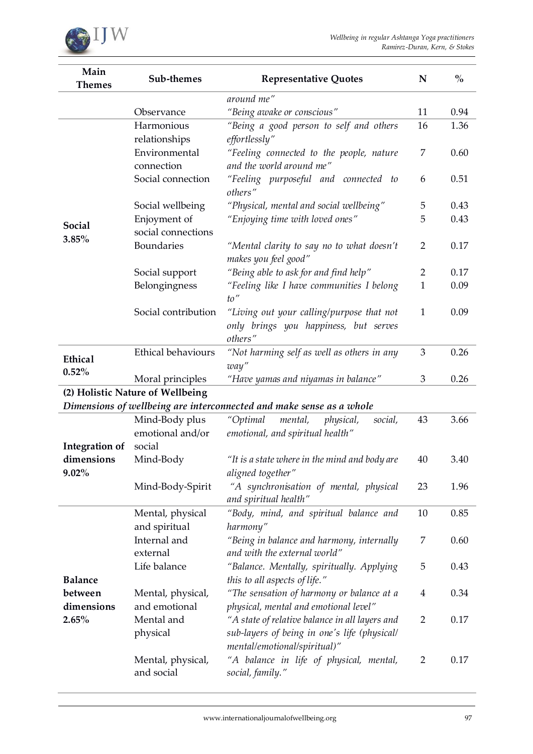

| around me"<br>"Being awake or conscious"<br>Observance<br>11<br>0.94<br>Harmonious<br>"Being a good person to self and others<br>16<br>1.36<br>relationships<br>effortlessly"<br>Environmental<br>"Feeling connected to the people, nature<br>7<br>0.60<br>and the world around me"<br>connection<br>Social connection<br>"Feeling purposeful and connected to<br>0.51<br>6<br>others"<br>"Physical, mental and social wellbeing"<br>0.43<br>Social wellbeing<br>5<br>"Enjoying time with loved ones"<br>5<br>Enjoyment of<br>0.43<br>Social<br>social connections<br>3.85%<br>Boundaries<br>"Mental clarity to say no to what doesn't<br>0.17<br>2<br>makes you feel good"<br>"Being able to ask for and find help"<br>0.17<br>Social support<br>2<br>Belongingness<br>"Feeling like I have communities I belong<br>$\mathbf{1}$<br>0.09 | Main<br><b>Themes</b> | Sub-themes | <b>Representative Quotes</b> | ${\bf N}$ | $\frac{0}{0}$ |  |
|-------------------------------------------------------------------------------------------------------------------------------------------------------------------------------------------------------------------------------------------------------------------------------------------------------------------------------------------------------------------------------------------------------------------------------------------------------------------------------------------------------------------------------------------------------------------------------------------------------------------------------------------------------------------------------------------------------------------------------------------------------------------------------------------------------------------------------------------|-----------------------|------------|------------------------------|-----------|---------------|--|
|                                                                                                                                                                                                                                                                                                                                                                                                                                                                                                                                                                                                                                                                                                                                                                                                                                           |                       |            |                              |           |               |  |
|                                                                                                                                                                                                                                                                                                                                                                                                                                                                                                                                                                                                                                                                                                                                                                                                                                           |                       |            |                              |           |               |  |
|                                                                                                                                                                                                                                                                                                                                                                                                                                                                                                                                                                                                                                                                                                                                                                                                                                           |                       |            |                              |           |               |  |
|                                                                                                                                                                                                                                                                                                                                                                                                                                                                                                                                                                                                                                                                                                                                                                                                                                           |                       |            |                              |           |               |  |
|                                                                                                                                                                                                                                                                                                                                                                                                                                                                                                                                                                                                                                                                                                                                                                                                                                           |                       |            |                              |           |               |  |
|                                                                                                                                                                                                                                                                                                                                                                                                                                                                                                                                                                                                                                                                                                                                                                                                                                           |                       |            |                              |           |               |  |
|                                                                                                                                                                                                                                                                                                                                                                                                                                                                                                                                                                                                                                                                                                                                                                                                                                           |                       |            |                              |           |               |  |
|                                                                                                                                                                                                                                                                                                                                                                                                                                                                                                                                                                                                                                                                                                                                                                                                                                           |                       |            |                              |           |               |  |
|                                                                                                                                                                                                                                                                                                                                                                                                                                                                                                                                                                                                                                                                                                                                                                                                                                           |                       |            |                              |           |               |  |
|                                                                                                                                                                                                                                                                                                                                                                                                                                                                                                                                                                                                                                                                                                                                                                                                                                           |                       |            |                              |           |               |  |
|                                                                                                                                                                                                                                                                                                                                                                                                                                                                                                                                                                                                                                                                                                                                                                                                                                           |                       |            |                              |           |               |  |
|                                                                                                                                                                                                                                                                                                                                                                                                                                                                                                                                                                                                                                                                                                                                                                                                                                           |                       |            |                              |           |               |  |
|                                                                                                                                                                                                                                                                                                                                                                                                                                                                                                                                                                                                                                                                                                                                                                                                                                           |                       |            | to''                         |           |               |  |
| Social contribution<br>"Living out your calling/purpose that not<br>$\mathbf{1}$<br>0.09                                                                                                                                                                                                                                                                                                                                                                                                                                                                                                                                                                                                                                                                                                                                                  |                       |            |                              |           |               |  |
| only brings you happiness, but serves<br>others"                                                                                                                                                                                                                                                                                                                                                                                                                                                                                                                                                                                                                                                                                                                                                                                          |                       |            |                              |           |               |  |
| Ethical behaviours<br>3<br>"Not harming self as well as others in any<br>0.26                                                                                                                                                                                                                                                                                                                                                                                                                                                                                                                                                                                                                                                                                                                                                             |                       |            |                              |           |               |  |
| Ethical<br>way"                                                                                                                                                                                                                                                                                                                                                                                                                                                                                                                                                                                                                                                                                                                                                                                                                           |                       |            |                              |           |               |  |
| 0.52%<br>0.26<br>Moral principles<br>"Have yamas and niyamas in balance"<br>3                                                                                                                                                                                                                                                                                                                                                                                                                                                                                                                                                                                                                                                                                                                                                             |                       |            |                              |           |               |  |
| (2) Holistic Nature of Wellbeing                                                                                                                                                                                                                                                                                                                                                                                                                                                                                                                                                                                                                                                                                                                                                                                                          |                       |            |                              |           |               |  |
| Dimensions of wellbeing are interconnected and make sense as a whole                                                                                                                                                                                                                                                                                                                                                                                                                                                                                                                                                                                                                                                                                                                                                                      |                       |            |                              |           |               |  |
| Mind-Body plus<br>"Optimal<br>mental,<br>43<br>3.66<br>physical,<br>social,                                                                                                                                                                                                                                                                                                                                                                                                                                                                                                                                                                                                                                                                                                                                                               |                       |            |                              |           |               |  |
| emotional and/or<br>emotional, and spiritual health"                                                                                                                                                                                                                                                                                                                                                                                                                                                                                                                                                                                                                                                                                                                                                                                      |                       |            |                              |           |               |  |
| social<br>Integration of                                                                                                                                                                                                                                                                                                                                                                                                                                                                                                                                                                                                                                                                                                                                                                                                                  |                       |            |                              |           |               |  |
| dimensions<br>Mind-Body<br>"It is a state where in the mind and body are<br>40<br>3.40                                                                                                                                                                                                                                                                                                                                                                                                                                                                                                                                                                                                                                                                                                                                                    |                       |            |                              |           |               |  |
| $9.02\%$<br>aligned together"                                                                                                                                                                                                                                                                                                                                                                                                                                                                                                                                                                                                                                                                                                                                                                                                             |                       |            |                              |           |               |  |
| "A synchronisation of mental, physical<br>Mind-Body-Spirit<br>23<br>1.96<br>and spiritual health"                                                                                                                                                                                                                                                                                                                                                                                                                                                                                                                                                                                                                                                                                                                                         |                       |            |                              |           |               |  |
| 0.85<br>Mental, physical<br>"Body, mind, and spiritual balance and<br>10                                                                                                                                                                                                                                                                                                                                                                                                                                                                                                                                                                                                                                                                                                                                                                  |                       |            |                              |           |               |  |
| and spiritual<br>harmony"                                                                                                                                                                                                                                                                                                                                                                                                                                                                                                                                                                                                                                                                                                                                                                                                                 |                       |            |                              |           |               |  |
| Internal and<br>"Being in balance and harmony, internally<br>0.60<br>7                                                                                                                                                                                                                                                                                                                                                                                                                                                                                                                                                                                                                                                                                                                                                                    |                       |            |                              |           |               |  |
| and with the external world"<br>external                                                                                                                                                                                                                                                                                                                                                                                                                                                                                                                                                                                                                                                                                                                                                                                                  |                       |            |                              |           |               |  |
| Life balance<br>"Balance. Mentally, spiritually. Applying<br>5<br>0.43                                                                                                                                                                                                                                                                                                                                                                                                                                                                                                                                                                                                                                                                                                                                                                    |                       |            |                              |           |               |  |
| <b>Balance</b><br>this to all aspects of life."                                                                                                                                                                                                                                                                                                                                                                                                                                                                                                                                                                                                                                                                                                                                                                                           |                       |            |                              |           |               |  |
| "The sensation of harmony or balance at a<br>0.34<br>between<br>Mental, physical,<br>4                                                                                                                                                                                                                                                                                                                                                                                                                                                                                                                                                                                                                                                                                                                                                    |                       |            |                              |           |               |  |
| and emotional<br>dimensions<br>physical, mental and emotional level"                                                                                                                                                                                                                                                                                                                                                                                                                                                                                                                                                                                                                                                                                                                                                                      |                       |            |                              |           |               |  |
| Mental and<br>"A state of relative balance in all layers and<br>2.65%<br>$\overline{2}$<br>0.17                                                                                                                                                                                                                                                                                                                                                                                                                                                                                                                                                                                                                                                                                                                                           |                       |            |                              |           |               |  |
| physical<br>sub-layers of being in one's life (physical/                                                                                                                                                                                                                                                                                                                                                                                                                                                                                                                                                                                                                                                                                                                                                                                  |                       |            |                              |           |               |  |
| mental/emotional/spiritual)"                                                                                                                                                                                                                                                                                                                                                                                                                                                                                                                                                                                                                                                                                                                                                                                                              |                       |            |                              |           |               |  |
| "A balance in life of physical, mental,<br>Mental, physical,<br>$\overline{2}$<br>0.17<br>and social<br>social, family."                                                                                                                                                                                                                                                                                                                                                                                                                                                                                                                                                                                                                                                                                                                  |                       |            |                              |           |               |  |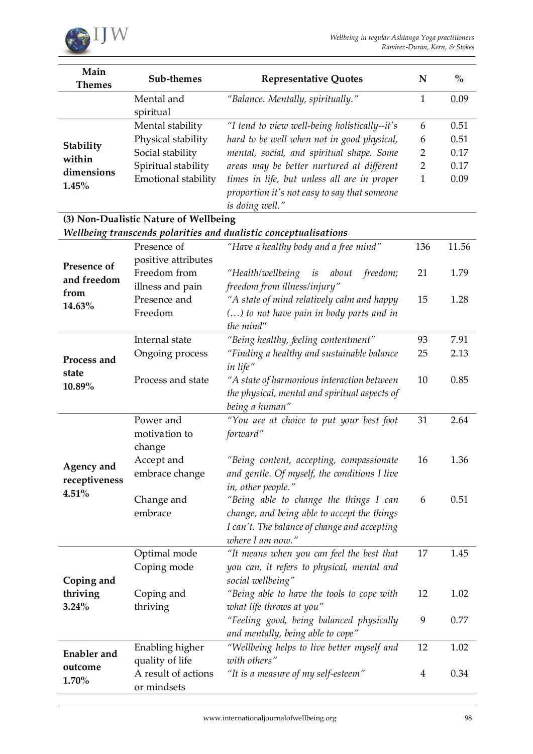

| Main<br><b>Themes</b>                                            | Sub-themes                         | <b>Representative Quotes</b>                                                                                  | ${\bf N}$      | $\frac{0}{0}$ |  |
|------------------------------------------------------------------|------------------------------------|---------------------------------------------------------------------------------------------------------------|----------------|---------------|--|
|                                                                  | Mental and<br>spiritual            | "Balance. Mentally, spiritually."                                                                             | $\mathbf{1}$   | 0.09          |  |
|                                                                  | Mental stability                   | "I tend to view well-being holistically--it's                                                                 | 6              | 0.51          |  |
|                                                                  | Physical stability                 | hard to be well when not in good physical,                                                                    | 6              | 0.51          |  |
| Stability                                                        | Social stability                   | mental, social, and spiritual shape. Some                                                                     | $\overline{2}$ | 0.17          |  |
| within                                                           | Spiritual stability                | areas may be better nurtured at different                                                                     | $\overline{2}$ | 0.17          |  |
| dimensions                                                       | Emotional stability                | times in life, but unless all are in proper                                                                   | $\mathbf{1}$   | 0.09          |  |
| 1.45%                                                            |                                    | proportion it's not easy to say that someone<br>is doing well."                                               |                |               |  |
| (3) Non-Dualistic Nature of Wellbeing                            |                                    |                                                                                                               |                |               |  |
| Wellbeing transcends polarities and dualistic conceptualisations |                                    |                                                                                                               |                |               |  |
| Presence of<br>and freedom                                       | Presence of<br>positive attributes | "Have a healthy body and a free mind"                                                                         | 136            | 11.56         |  |
|                                                                  | Freedom from<br>illness and pain   | "Health/wellbeing is about<br>freedom;<br>freedom from illness/injury"                                        | 21             | 1.79          |  |
| from                                                             | Presence and                       | "A state of mind relatively calm and happy                                                                    | 15             | 1.28          |  |
| 14.63%                                                           | Freedom                            | () to not have pain in body parts and in                                                                      |                |               |  |
|                                                                  |                                    | the mind"                                                                                                     |                |               |  |
|                                                                  | Internal state                     | "Being healthy, feeling contentment"                                                                          | 93             | 7.91          |  |
| Process and                                                      | Ongoing process                    | "Finding a healthy and sustainable balance                                                                    | 25             | 2.13          |  |
| state                                                            |                                    | in life"                                                                                                      |                |               |  |
| 10.89%                                                           | Process and state                  | "A state of harmonious interaction between<br>the physical, mental and spiritual aspects of<br>being a human" | 10             | 0.85          |  |
|                                                                  | Power and                          | "You are at choice to put your best foot                                                                      | 31             | 2.64          |  |
|                                                                  | motivation to                      | forward"                                                                                                      |                |               |  |
|                                                                  | change                             |                                                                                                               |                |               |  |
| Agency and                                                       | Accept and                         | "Being content, accepting, compassionate                                                                      | 16             | 1.36          |  |
| receptiveness                                                    | embrace change                     | and gentle. Of myself, the conditions I live                                                                  |                |               |  |
| 4.51%                                                            |                                    | in, other people."                                                                                            |                |               |  |
|                                                                  | Change and                         | "Being able to change the things I can                                                                        | 6              | 0.51          |  |
|                                                                  | embrace                            | change, and being able to accept the things                                                                   |                |               |  |
|                                                                  |                                    | I can't. The balance of change and accepting                                                                  |                |               |  |
|                                                                  |                                    | where I am now."                                                                                              |                |               |  |
|                                                                  | Optimal mode                       | "It means when you can feel the best that                                                                     | 17             | 1.45          |  |
| Coping and<br>thriving<br>3.24%                                  | Coping mode                        | you can, it refers to physical, mental and                                                                    |                |               |  |
|                                                                  |                                    | social wellbeing"                                                                                             |                |               |  |
|                                                                  | Coping and                         | "Being able to have the tools to cope with                                                                    | 12             | 1.02          |  |
|                                                                  | thriving                           | what life throws at you"                                                                                      |                |               |  |
|                                                                  |                                    | "Feeling good, being balanced physically                                                                      | 9              | 0.77          |  |
|                                                                  | Enabling higher                    | and mentally, being able to cope"<br>"Wellbeing helps to live better myself and                               | 12             | 1.02          |  |
| <b>Enabler</b> and                                               | quality of life                    | with others"                                                                                                  |                |               |  |
| outcome                                                          | A result of actions                | "It is a measure of my self-esteem"                                                                           | $\overline{4}$ | 0.34          |  |
| 1.70%                                                            | or mindsets                        |                                                                                                               |                |               |  |
|                                                                  |                                    |                                                                                                               |                |               |  |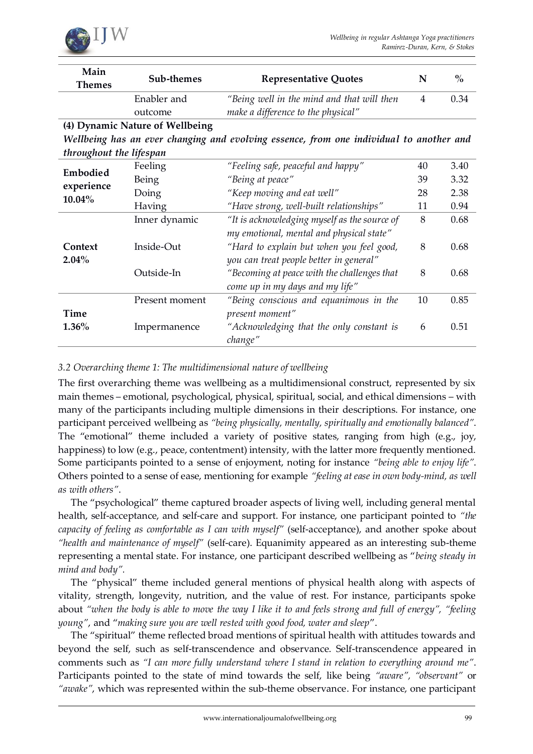

| Main                                                                                    | Sub-themes                      | <b>Representative Quotes</b>                 | N              | $\frac{0}{0}$ |  |
|-----------------------------------------------------------------------------------------|---------------------------------|----------------------------------------------|----------------|---------------|--|
| <b>Themes</b>                                                                           |                                 |                                              |                |               |  |
|                                                                                         | Enabler and                     | "Being well in the mind and that will then   | $\overline{4}$ | 0.34          |  |
|                                                                                         | outcome                         | make a difference to the physical"           |                |               |  |
|                                                                                         | (4) Dynamic Nature of Wellbeing |                                              |                |               |  |
| Wellbeing has an ever changing and evolving essence, from one individual to another and |                                 |                                              |                |               |  |
| throughout the lifespan                                                                 |                                 |                                              |                |               |  |
| Embodied<br>experience<br>10.04%                                                        | Feeling                         | "Feeling safe, peaceful and happy"           | 40             | 3.40          |  |
|                                                                                         | Being                           | "Being at peace"                             | 39             | 3.32          |  |
|                                                                                         | Doing                           | "Keep moving and eat well"                   | 28             | 2.38          |  |
|                                                                                         | Having                          | "Have strong, well-built relationships"      | 11             | 0.94          |  |
| Context<br>$2.04\%$                                                                     | Inner dynamic                   | "It is acknowledging myself as the source of | 8              | 0.68          |  |
|                                                                                         |                                 | my emotional, mental and physical state"     |                |               |  |
|                                                                                         | Inside-Out                      | "Hard to explain but when you feel good,     | 8              | 0.68          |  |
|                                                                                         |                                 | you can treat people better in general"      |                |               |  |
|                                                                                         | Outside-In                      | "Becoming at peace with the challenges that  | 8              | 0.68          |  |
|                                                                                         |                                 | come up in my days and my life"              |                |               |  |
| Time<br>$1.36\%$                                                                        | Present moment                  | "Being conscious and equanimous in the       | 10             | 0.85          |  |
|                                                                                         |                                 | present moment"                              |                |               |  |
|                                                                                         | Impermanence                    | "Acknowledging that the only constant is     | 6              | 0.51          |  |
|                                                                                         |                                 | change"                                      |                |               |  |

## *3.2 Overarching theme 1: The multidimensional nature of wellbeing*

The first overarching theme was wellbeing as a multidimensional construct, represented by six main themes – emotional, psychological, physical, spiritual, social, and ethical dimensions – with many of the participants including multiple dimensions in their descriptions. For instance, one participant perceived wellbeing as *"being physically, mentally, spiritually and emotionally balanced"*. The "emotional" theme included a variety of positive states, ranging from high (e.g., joy, happiness) to low (e.g., peace, contentment) intensity, with the latter more frequently mentioned. Some participants pointed to a sense of enjoyment, noting for instance *"being able to enjoy life"*. Others pointed to a sense of ease, mentioning for example *"feeling at ease in own body-mind, as well as with others"*.

The "psychological" theme captured broader aspects of living well, including general mental health, self-acceptance, and self-care and support. For instance, one participant pointed to *"the capacity of feeling as comfortable as I can with myself"* (self-acceptance), and another spoke about *"health and maintenance of myself"* (self-care). Equanimity appeared as an interesting sub-theme representing a mental state. For instance, one participant described wellbeing as "*being steady in mind and body".*

The "physical" theme included general mentions of physical health along with aspects of vitality, strength, longevity, nutrition, and the value of rest. For instance, participants spoke about *"when the body is able to move the way I like it to and feels strong and full of energy", "feeling young"*, and "*making sure you are well rested with good food, water and sleep*".

The "spiritual" theme reflected broad mentions of spiritual health with attitudes towards and beyond the self, such as self-transcendence and observance. Self-transcendence appeared in comments such as *"I can more fully understand where I stand in relation to everything around me"*. Participants pointed to the state of mind towards the self, like being *"aware", "observant"* or *"awake"*, which was represented within the sub-theme observance. For instance, one participant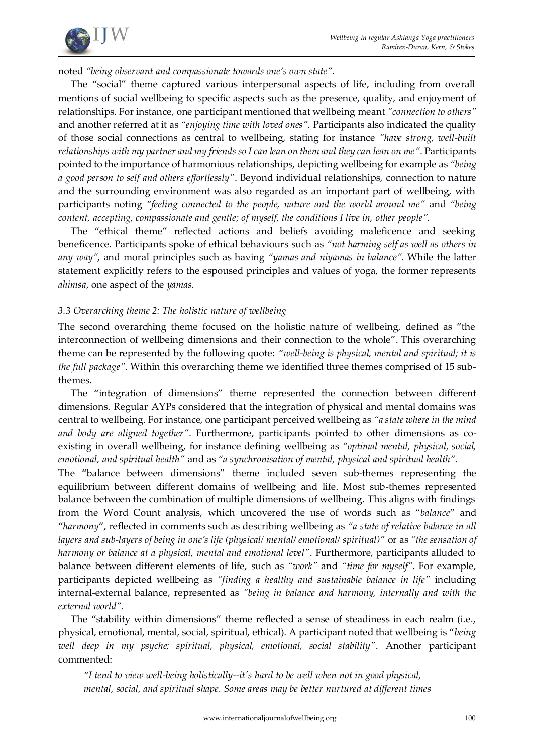

noted *"being observant and compassionate towards one's own state".*

The "social" theme captured various interpersonal aspects of life, including from overall mentions of social wellbeing to specific aspects such as the presence, quality, and enjoyment of relationships. For instance, one participant mentioned that wellbeing meant *"connection to others"*  and another referred at it as *"enjoying time with loved ones".* Participants also indicated the quality of those social connections as central to wellbeing, stating for instance *"have strong, well-built relationships with my partner and my friends so I can lean on them and they can lean on me"*. Participants pointed to the importance of harmonious relationships, depicting wellbeing for example as *"being a good person to self and others effortlessly"*. Beyond individual relationships, connection to nature and the surrounding environment was also regarded as an important part of wellbeing, with participants noting *"feeling connected to the people, nature and the world around me"* and *"being content, accepting, compassionate and gentle; of myself, the conditions I live in, other people".*

The "ethical theme" reflected actions and beliefs avoiding maleficence and seeking beneficence. Participants spoke of ethical behaviours such as *"not harming self as well as others in any way"*, and moral principles such as having *"yamas and niyamas in balance"*. While the latter statement explicitly refers to the espoused principles and values of yoga, the former represents *ahimsa*, one aspect of the *yamas*.

## *3.3 Overarching theme 2: The holistic nature of wellbeing*

The second overarching theme focused on the holistic nature of wellbeing, defined as "the interconnection of wellbeing dimensions and their connection to the whole". This overarching theme can be represented by the following quote: *"well-being is physical, mental and spiritual; it is the full package"*. Within this overarching theme we identified three themes comprised of 15 subthemes.

The "integration of dimensions" theme represented the connection between different dimensions. Regular AYPs considered that the integration of physical and mental domains was central to wellbeing. For instance, one participant perceived wellbeing as *"a state where in the mind and body are aligned together"*. Furthermore, participants pointed to other dimensions as coexisting in overall wellbeing, for instance defining wellbeing as *"optimal mental, physical, social, emotional, and spiritual health"* and as *"a synchronisation of mental, physical and spiritual health"*.

The "balance between dimensions" theme included seven sub-themes representing the equilibrium between different domains of wellbeing and life. Most sub-themes represented balance between the combination of multiple dimensions of wellbeing. This aligns with findings from the Word Count analysis, which uncovered the use of words such as "*balance*" and "*harmony*", reflected in comments such as describing wellbeing as *"a state of relative balance in all layers and sub-layers of being in one's life (physical/ mental/ emotional/ spiritual)"* or as *"the sensation of harmony or balance at a physical, mental and emotional level"*. Furthermore, participants alluded to balance between different elements of life, such as *"work"* and *"time for myself"*. For example, participants depicted wellbeing as *"finding a healthy and sustainable balance in life"* including internal-external balance, represented as *"being in balance and harmony, internally and with the external world"*.

The "stability within dimensions" theme reflected a sense of steadiness in each realm (i.e., physical, emotional, mental, social, spiritual, ethical). A participant noted that wellbeing is "*being well deep in my psyche; spiritual, physical, emotional, social stability"*. Another participant commented:

*"I tend to view well-being holistically--it's hard to be well when not in good physical, mental, social, and spiritual shape. Some areas may be better nurtured at different times*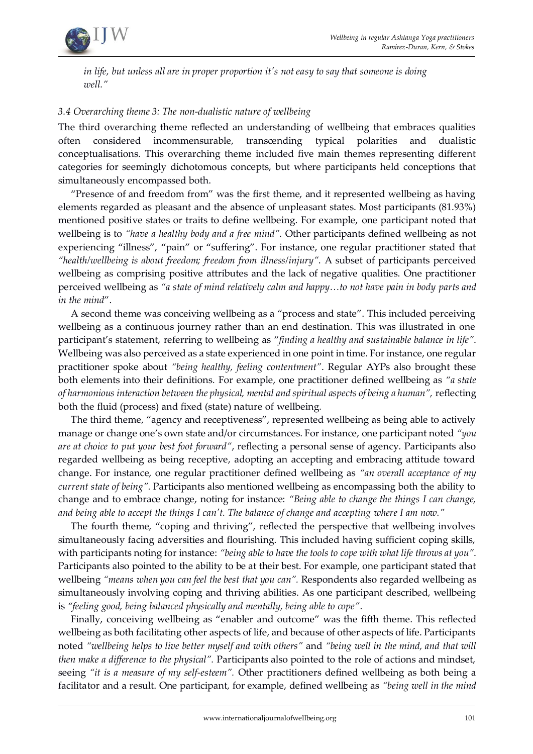

*in life, but unless all are in proper proportion it's not easy to say that someone is doing well."* 

## *3.4 Overarching theme 3: The non-dualistic nature of wellbeing*

The third overarching theme reflected an understanding of wellbeing that embraces qualities often considered incommensurable, transcending typical polarities and dualistic conceptualisations. This overarching theme included five main themes representing different categories for seemingly dichotomous concepts, but where participants held conceptions that simultaneously encompassed both.

"Presence of and freedom from" was the first theme, and it represented wellbeing as having elements regarded as pleasant and the absence of unpleasant states. Most participants (81.93%) mentioned positive states or traits to define wellbeing. For example, one participant noted that wellbeing is to *"have a healthy body and a free mind".* Other participants defined wellbeing as not experiencing "illness", "pain" or "suffering". For instance, one regular practitioner stated that *"health/wellbeing is about freedom; freedom from illness/injury"*. A subset of participants perceived wellbeing as comprising positive attributes and the lack of negative qualities. One practitioner perceived wellbeing as *"a state of mind relatively calm and happy…to not have pain in body parts and in the mind*".

A second theme was conceiving wellbeing as a "process and state". This included perceiving wellbeing as a continuous journey rather than an end destination. This was illustrated in one participant's statement, referring to wellbeing as "*finding a healthy and sustainable balance in life"*. Wellbeing was also perceived as a state experienced in one point in time. For instance, one regular practitioner spoke about *"being healthy, feeling contentment"*. Regular AYPs also brought these both elements into their definitions*.* For example, one practitioner defined wellbeing as *"a state of harmonious interaction between the physical, mental and spiritual aspects of being a human",* reflecting both the fluid (process) and fixed (state) nature of wellbeing*.*

The third theme, "agency and receptiveness", represented wellbeing as being able to actively manage or change one's own state and/or circumstances. For instance, one participant noted *"you are at choice to put your best foot forward"*, reflecting a personal sense of agency. Participants also regarded wellbeing as being receptive, adopting an accepting and embracing attitude toward change. For instance, one regular practitioner defined wellbeing as *"an overall acceptance of my current state of being".* Participants also mentioned wellbeing as encompassing both the ability to change and to embrace change, noting for instance: *"Being able to change the things I can change, and being able to accept the things I can't. The balance of change and accepting where I am now."*

The fourth theme, "coping and thriving", reflected the perspective that wellbeing involves simultaneously facing adversities and flourishing. This included having sufficient coping skills, with participants noting for instance: *"being able to have the tools to cope with what life throws at you"*. Participants also pointed to the ability to be at their best. For example, one participant stated that wellbeing *"means when you can feel the best that you can".* Respondents also regarded wellbeing as simultaneously involving coping and thriving abilities. As one participant described, wellbeing is *"feeling good, being balanced physically and mentally, being able to cope"*.

Finally, conceiving wellbeing as "enabler and outcome" was the fifth theme. This reflected wellbeing as both facilitating other aspects of life, and because of other aspects of life. Participants noted *"wellbeing helps to live better myself and with others"* and *"being well in the mind, and that will then make a difference to the physical".* Participants also pointed to the role of actions and mindset, seeing *"it is a measure of my self-esteem".* Other practitioners defined wellbeing as both being a facilitator and a result. One participant, for example, defined wellbeing as *"being well in the mind*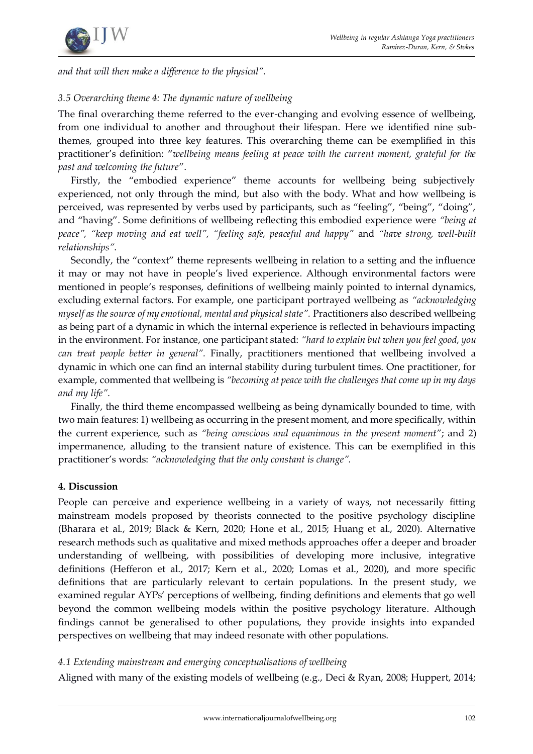

*and that will then make a difference to the physical".*

## *3.5 Overarching theme 4: The dynamic nature of wellbeing*

The final overarching theme referred to the ever-changing and evolving essence of wellbeing, from one individual to another and throughout their lifespan. Here we identified nine subthemes, grouped into three key features. This overarching theme can be exemplified in this practitioner's definition: "*wellbeing means feeling at peace with the current moment, grateful for the past and welcoming the future*".

Firstly, the "embodied experience" theme accounts for wellbeing being subjectively experienced, not only through the mind, but also with the body. What and how wellbeing is perceived, was represented by verbs used by participants, such as "feeling", "being", "doing", and "having". Some definitions of wellbeing reflecting this embodied experience were *"being at peace", "keep moving and eat well", "feeling safe, peaceful and happy"* and *"have strong, well-built relationships"*.

Secondly, the "context" theme represents wellbeing in relation to a setting and the influence it may or may not have in people's lived experience. Although environmental factors were mentioned in people's responses, definitions of wellbeing mainly pointed to internal dynamics, excluding external factors. For example, one participant portrayed wellbeing as *"acknowledging myself as the source of my emotional, mental and physical state".* Practitioners also described wellbeing as being part of a dynamic in which the internal experience is reflected in behaviours impacting in the environment. For instance, one participant stated: *"hard to explain but when you feel good, you can treat people better in general".* Finally, practitioners mentioned that wellbeing involved a dynamic in which one can find an internal stability during turbulent times. One practitioner, for example, commented that wellbeing is *"becoming at peace with the challenges that come up in my days and my life".* 

Finally, the third theme encompassed wellbeing as being dynamically bounded to time*,* with two main features: 1) wellbeing as occurring in the present moment, and more specifically, within the current experience, such as *"being conscious and equanimous in the present moment"*; and 2) impermanence*,* alluding to the transient nature of existence. This can be exemplified in this practitioner's words: *"acknowledging that the only constant is change".*

#### **4. Discussion**

People can perceive and experience wellbeing in a variety of ways, not necessarily fitting mainstream models proposed by theorists connected to the positive psychology discipline (Bharara et al., 2019; Black & Kern, 2020; Hone et al., 2015; Huang et al., 2020). Alternative research methods such as qualitative and mixed methods approaches offer a deeper and broader understanding of wellbeing, with possibilities of developing more inclusive, integrative definitions (Hefferon et al., 2017; Kern et al., 2020; Lomas et al., 2020), and more specific definitions that are particularly relevant to certain populations. In the present study, we examined regular AYPs' perceptions of wellbeing, finding definitions and elements that go well beyond the common wellbeing models within the positive psychology literature. Although findings cannot be generalised to other populations, they provide insights into expanded perspectives on wellbeing that may indeed resonate with other populations.

## *4.1 Extending mainstream and emerging conceptualisations of wellbeing*

Aligned with many of the existing models of wellbeing (e.g., Deci & Ryan, 2008; Huppert, 2014;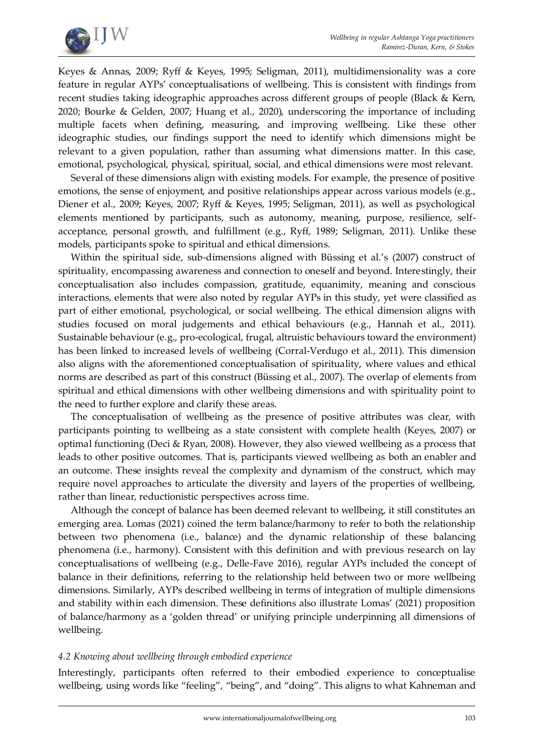

Keyes & Annas, 2009; Ryff & Keyes, 1995; Seligman, 2011), multidimensionality was a core feature in regular AYPs' conceptualisations of wellbeing. This is consistent with findings from recent studies taking ideographic approaches across different groups of people (Black & Kern, 2020; Bourke & Gelden, 2007; Huang et al., 2020), underscoring the importance of including multiple facets when defining, measuring, and improving wellbeing. Like these other ideographic studies, our findings support the need to identify which dimensions might be relevant to a given population, rather than assuming what dimensions matter. In this case, emotional, psychological, physical, spiritual, social, and ethical dimensions were most relevant.

Several of these dimensions align with existing models. For example, the presence of positive emotions, the sense of enjoyment, and positive relationships appear across various models (e.g., Diener et al., 2009; Keyes, 2007; Ryff & Keyes, 1995; Seligman, 2011), as well as psychological elements mentioned by participants, such as autonomy, meaning, purpose, resilience, selfacceptance, personal growth, and fulfillment (e.g., Ryff, 1989; Seligman, 2011). Unlike these models, participants spoke to spiritual and ethical dimensions.

Within the spiritual side, sub-dimensions aligned with Büssing et al.'s (2007) construct of spirituality, encompassing awareness and connection to oneself and beyond. Interestingly, their conceptualisation also includes compassion, gratitude, equanimity, meaning and conscious interactions, elements that were also noted by regular AYPs in this study, yet were classified as part of either emotional, psychological, or social wellbeing. The ethical dimension aligns with studies focused on moral judgements and ethical behaviours (e.g., Hannah et al., 2011). Sustainable behaviour (e.g., pro-ecological, frugal, altruistic behaviours toward the environment) has been linked to increased levels of wellbeing (Corral-Verdugo et al., 2011). This dimension also aligns with the aforementioned conceptualisation of spirituality, where values and ethical norms are described as part of this construct (Büssing et al., 2007). The overlap of elements from spiritual and ethical dimensions with other wellbeing dimensions and with spirituality point to the need to further explore and clarify these areas.

The conceptualisation of wellbeing as the presence of positive attributes was clear, with participants pointing to wellbeing as a state consistent with complete health (Keyes, 2007) or optimal functioning (Deci & Ryan, 2008). However, they also viewed wellbeing as a process that leads to other positive outcomes. That is, participants viewed wellbeing as both an enabler and an outcome. These insights reveal the complexity and dynamism of the construct, which may require novel approaches to articulate the diversity and layers of the properties of wellbeing, rather than linear, reductionistic perspectives across time.

Although the concept of balance has been deemed relevant to wellbeing, it still constitutes an emerging area. Lomas (2021) coined the term balance/harmony to refer to both the relationship between two phenomena (i.e., balance) and the dynamic relationship of these balancing phenomena (i.e., harmony). Consistent with this definition and with previous research on lay conceptualisations of wellbeing (e.g., Delle-Fave 2016), regular AYPs included the concept of balance in their definitions, referring to the relationship held between two or more wellbeing dimensions. Similarly, AYPs described wellbeing in terms of integration of multiple dimensions and stability within each dimension. These definitions also illustrate Lomas' (2021) proposition of balance/harmony as a 'golden thread' or unifying principle underpinning all dimensions of wellbeing.

#### *4.2 Knowing about wellbeing through embodied experience*

Interestingly, participants often referred to their embodied experience to conceptualise wellbeing, using words like "feeling", "being", and "doing". This aligns to what Kahneman and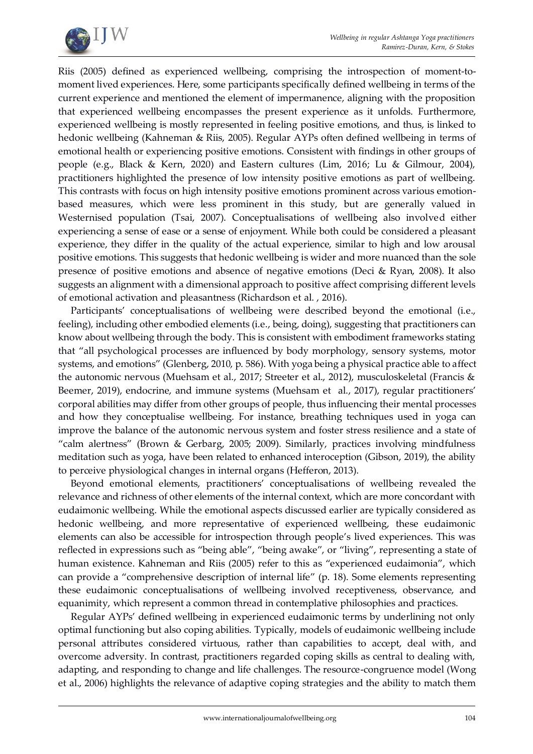

Riis (2005) defined as experienced wellbeing, comprising the introspection of moment-tomoment lived experiences. Here, some participants specifically defined wellbeing in terms of the current experience and mentioned the element of impermanence, aligning with the proposition that experienced wellbeing encompasses the present experience as it unfolds. Furthermore, experienced wellbeing is mostly represented in feeling positive emotions, and thus, is linked to hedonic wellbeing (Kahneman & Riis, 2005). Regular AYPs often defined wellbeing in terms of emotional health or experiencing positive emotions. Consistent with findings in other groups of people (e.g., Black & Kern, 2020) and Eastern cultures (Lim, 2016; Lu & Gilmour, 2004), practitioners highlighted the presence of low intensity positive emotions as part of wellbeing. This contrasts with focus on high intensity positive emotions prominent across various emotionbased measures, which were less prominent in this study, but are generally valued in Westernised population (Tsai, 2007). Conceptualisations of wellbeing also involved either experiencing a sense of ease or a sense of enjoyment. While both could be considered a pleasant experience, they differ in the quality of the actual experience, similar to high and low arousal positive emotions. This suggests that hedonic wellbeing is wider and more nuanced than the sole presence of positive emotions and absence of negative emotions (Deci & Ryan, 2008). It also suggests an alignment with a dimensional approach to positive affect comprising different levels of emotional activation and pleasantness (Richardson et al. , 2016).

Participants' conceptualisations of wellbeing were described beyond the emotional (i.e., feeling), including other embodied elements (i.e., being, doing), suggesting that practitioners can know about wellbeing through the body. This is consistent with embodiment frameworks stating that "all psychological processes are influenced by body morphology, sensory systems, motor systems, and emotions" (Glenberg, 2010, p. 586). With yoga being a physical practice able to affect the autonomic nervous (Muehsam et al., 2017; Streeter et al., 2012), musculoskeletal (Francis & Beemer, 2019), endocrine, and immune systems (Muehsam et al., 2017), regular practitioners' corporal abilities may differ from other groups of people, thus influencing their mental processes and how they conceptualise wellbeing. For instance, breathing techniques used in yoga can improve the balance of the autonomic nervous system and foster stress resilience and a state of "calm alertness" (Brown & Gerbarg, 2005; 2009). Similarly, practices involving mindfulness meditation such as yoga, have been related to enhanced interoception (Gibson, 2019), the ability to perceive physiological changes in internal organs (Hefferon, 2013).

Beyond emotional elements, practitioners' conceptualisations of wellbeing revealed the relevance and richness of other elements of the internal context, which are more concordant with eudaimonic wellbeing. While the emotional aspects discussed earlier are typically considered as hedonic wellbeing, and more representative of experienced wellbeing, these eudaimonic elements can also be accessible for introspection through people's lived experiences. This was reflected in expressions such as "being able", "being awake", or "living", representing a state of human existence. Kahneman and Riis (2005) refer to this as "experienced eudaimonia", which can provide a "comprehensive description of internal life" (p. 18). Some elements representing these eudaimonic conceptualisations of wellbeing involved receptiveness, observance, and equanimity, which represent a common thread in contemplative philosophies and practices.

Regular AYPs' defined wellbeing in experienced eudaimonic terms by underlining not only optimal functioning but also coping abilities. Typically, models of eudaimonic wellbeing include personal attributes considered virtuous, rather than capabilities to accept, deal with, and overcome adversity. In contrast, practitioners regarded coping skills as central to dealing with, adapting, and responding to change and life challenges. The resource-congruence model (Wong et al., 2006) highlights the relevance of adaptive coping strategies and the ability to match them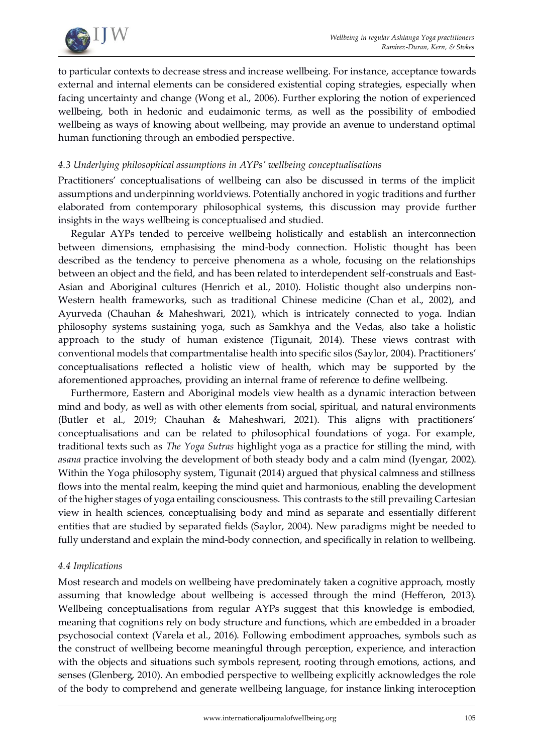

to particular contexts to decrease stress and increase wellbeing. For instance, acceptance towards external and internal elements can be considered existential coping strategies, especially when facing uncertainty and change (Wong et al., 2006). Further exploring the notion of experienced wellbeing, both in hedonic and eudaimonic terms, as well as the possibility of embodied wellbeing as ways of knowing about wellbeing, may provide an avenue to understand optimal human functioning through an embodied perspective.

## *4.3 Underlying philosophical assumptions in AYPs' wellbeing conceptualisations*

Practitioners' conceptualisations of wellbeing can also be discussed in terms of the implicit assumptions and underpinning worldviews. Potentially anchored in yogic traditions and further elaborated from contemporary philosophical systems, this discussion may provide further insights in the ways wellbeing is conceptualised and studied.

Regular AYPs tended to perceive wellbeing holistically and establish an interconnection between dimensions, emphasising the mind-body connection. Holistic thought has been described as the tendency to perceive phenomena as a whole, focusing on the relationships between an object and the field, and has been related to interdependent self-construals and East-Asian and Aboriginal cultures (Henrich et al., 2010). Holistic thought also underpins non-Western health frameworks, such as traditional Chinese medicine (Chan et al., 2002), and Ayurveda (Chauhan & Maheshwari, 2021), which is intricately connected to yoga. Indian philosophy systems sustaining yoga, such as Samkhya and the Vedas, also take a holistic approach to the study of human existence (Tigunait, 2014). These views contrast with conventional models that compartmentalise health into specific silos (Saylor, 2004). Practitioners' conceptualisations reflected a holistic view of health, which may be supported by the aforementioned approaches, providing an internal frame of reference to define wellbeing.

Furthermore, Eastern and Aboriginal models view health as a dynamic interaction between mind and body, as well as with other elements from social, spiritual, and natural environments (Butler et al., 2019; Chauhan & Maheshwari, 2021). This aligns with practitioners' conceptualisations and can be related to philosophical foundations of yoga. For example, traditional texts such as *The Yoga Sutras* highlight yoga as a practice for stilling the mind, with *asana* practice involving the development of both steady body and a calm mind (Iyengar, 2002). Within the Yoga philosophy system, Tigunait (2014) argued that physical calmness and stillness flows into the mental realm, keeping the mind quiet and harmonious, enabling the development of the higher stages of yoga entailing consciousness. This contrasts to the still prevailing Cartesian view in health sciences, conceptualising body and mind as separate and essentially different entities that are studied by separated fields (Saylor, 2004). New paradigms might be needed to fully understand and explain the mind-body connection, and specifically in relation to wellbeing.

#### *4.4 Implications*

Most research and models on wellbeing have predominately taken a cognitive approach, mostly assuming that knowledge about wellbeing is accessed through the mind (Hefferon, 2013). Wellbeing conceptualisations from regular AYPs suggest that this knowledge is embodied, meaning that cognitions rely on body structure and functions, which are embedded in a broader psychosocial context (Varela et al., 2016). Following embodiment approaches, symbols such as the construct of wellbeing become meaningful through perception, experience, and interaction with the objects and situations such symbols represent, rooting through emotions, actions, and senses (Glenberg, 2010). An embodied perspective to wellbeing explicitly acknowledges the role of the body to comprehend and generate wellbeing language, for instance linking interoception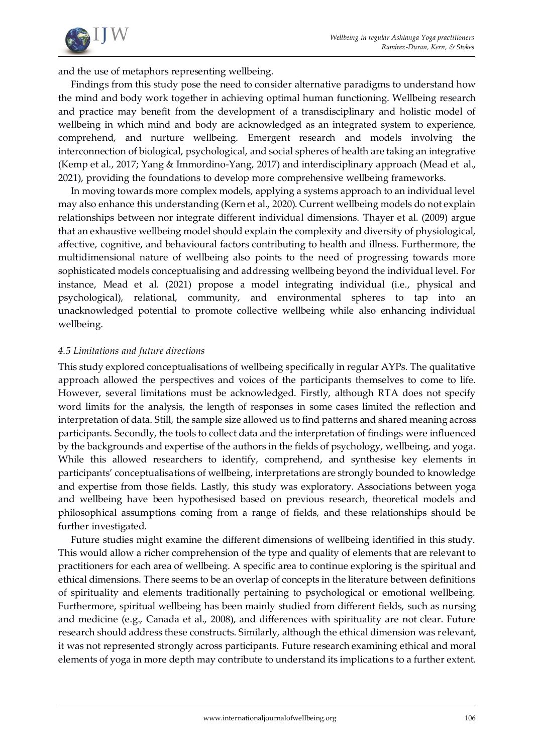

and the use of metaphors representing wellbeing.

Findings from this study pose the need to consider alternative paradigms to understand how the mind and body work together in achieving optimal human functioning. Wellbeing research and practice may benefit from the development of a transdisciplinary and holistic model of wellbeing in which mind and body are acknowledged as an integrated system to experience, comprehend, and nurture wellbeing. Emergent research and models involving the interconnection of biological, psychological, and social spheres of health are taking an integrative (Kemp et al., 2017; Yang & Immordino-Yang, 2017) and interdisciplinary approach (Mead et al., 2021), providing the foundations to develop more comprehensive wellbeing frameworks.

In moving towards more complex models, applying a systems approach to an individual level may also enhance this understanding (Kern et al., 2020). Current wellbeing models do not explain relationships between nor integrate different individual dimensions. Thayer et al. (2009) argue that an exhaustive wellbeing model should explain the complexity and diversity of physiological, affective, cognitive, and behavioural factors contributing to health and illness. Furthermore, the multidimensional nature of wellbeing also points to the need of progressing towards more sophisticated models conceptualising and addressing wellbeing beyond the individual level. For instance, Mead et al. (2021) propose a model integrating individual (i.e., physical and psychological), relational, community, and environmental spheres to tap into an unacknowledged potential to promote collective wellbeing while also enhancing individual wellbeing.

## *4.5 Limitations and future directions*

This study explored conceptualisations of wellbeing specifically in regular AYPs. The qualitative approach allowed the perspectives and voices of the participants themselves to come to life. However, several limitations must be acknowledged. Firstly, although RTA does not specify word limits for the analysis, the length of responses in some cases limited the reflection and interpretation of data. Still, the sample size allowed us to find patterns and shared meaning across participants. Secondly, the tools to collect data and the interpretation of findings were influenced by the backgrounds and expertise of the authors in the fields of psychology, wellbeing, and yoga. While this allowed researchers to identify, comprehend, and synthesise key elements in participants' conceptualisations of wellbeing, interpretations are strongly bounded to knowledge and expertise from those fields. Lastly, this study was exploratory. Associations between yoga and wellbeing have been hypothesised based on previous research, theoretical models and philosophical assumptions coming from a range of fields, and these relationships should be further investigated.

Future studies might examine the different dimensions of wellbeing identified in this study. This would allow a richer comprehension of the type and quality of elements that are relevant to practitioners for each area of wellbeing. A specific area to continue exploring is the spiritual and ethical dimensions. There seems to be an overlap of concepts in the literature between definitions of spirituality and elements traditionally pertaining to psychological or emotional wellbeing. Furthermore, spiritual wellbeing has been mainly studied from different fields, such as nursing and medicine (e.g., Canada et al., 2008), and differences with spirituality are not clear. Future research should address these constructs. Similarly, although the ethical dimension was relevant, it was not represented strongly across participants. Future research examining ethical and moral elements of yoga in more depth may contribute to understand its implications to a further extent.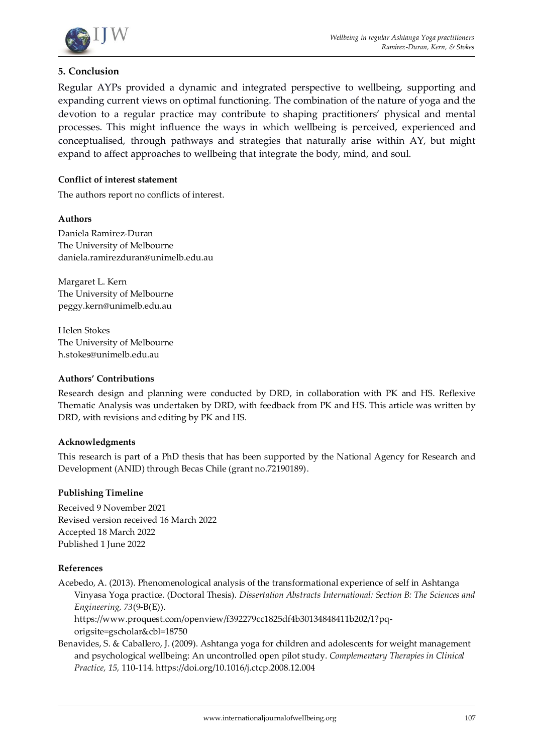

## **5. Conclusion**

Regular AYPs provided a dynamic and integrated perspective to wellbeing, supporting and expanding current views on optimal functioning. The combination of the nature of yoga and the devotion to a regular practice may contribute to shaping practitioners' physical and mental processes. This might influence the ways in which wellbeing is perceived, experienced and conceptualised, through pathways and strategies that naturally arise within AY, but might expand to affect approaches to wellbeing that integrate the body, mind, and soul.

#### **Conflict of interest statement**

The authors report no conflicts of interest.

#### **Authors**

Daniela Ramirez-Duran The University of Melbourne daniela.ramirezduran@unimelb.edu.au

Margaret L. Kern The University of Melbourne peggy.kern@unimelb.edu.au

Helen Stokes The University of Melbourne h.stokes@unimelb.edu.au

#### **Authors' Contributions**

Research design and planning were conducted by DRD, in collaboration with PK and HS. Reflexive Thematic Analysis was undertaken by DRD, with feedback from PK and HS. This article was written by DRD, with revisions and editing by PK and HS.

#### **Acknowledgments**

This research is part of a PhD thesis that has been supported by the National Agency for Research and Development (ANID) through Becas Chile (grant no.72190189).

#### **Publishing Timeline**

Received 9 November 2021 Revised version received 16 March 2022 Accepted 18 March 2022 Published 1 June 2022

#### **References**

Acebedo, A. (2013). Phenomenological analysis of the transformational experience of self in Ashtanga Vinyasa Yoga practice. (Doctoral Thesis). *Dissertation Abstracts International: Section B: The Sciences and Engineering, 73*(9-B(E)).

[https://www.proquest.com/openview/f392279cc1825df4b30134848411b202/1?pq](https://www.proquest.com/openview/f392279cc1825df4b30134848411b202/1?pq-origsite=gscholar&cbl=18750)[origsite=gscholar&cbl=18750](https://www.proquest.com/openview/f392279cc1825df4b30134848411b202/1?pq-origsite=gscholar&cbl=18750)

Benavides, S. & Caballero, J. (2009). Ashtanga yoga for children and adolescents for weight management and psychological wellbeing: An uncontrolled open pilot study. *Complementary Therapies in Clinical Practice, 15,* 110-114[. https://doi.org/10.1016/j.ctcp.2008.12.004](https://doi.org/10.1016/j.ctcp.2008.12.004)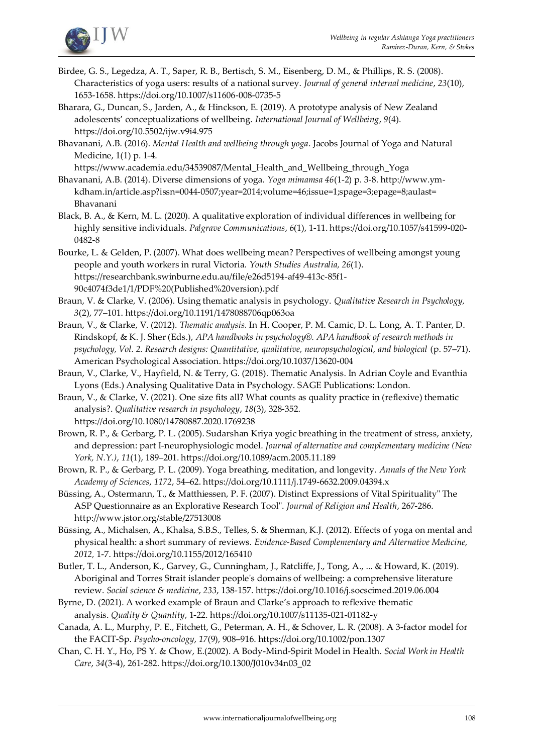

- Birdee, G. S., Legedza, A. T., Saper, R. B., Bertisch, S. M., Eisenberg, D. M., & Phillips, R. S. (2008). Characteristics of yoga users: results of a national survey. *Journal of general internal medicine*, *23*(10), 1653-1658[. https://doi.org/10.1007/s11606-008-0735-5](https://doi.org/10.1007/s11606-008-0735-5)
- Bharara, G., Duncan, S., Jarden, A., & Hinckson, E. (2019). A prototype analysis of New Zealand adolescents' conceptualizations of wellbeing. *International Journal of Wellbeing*, *9*(4). <https://doi.org/10.5502/ijw.v9i4.975>

Bhavanani, A.B. (2016). *Mental Health and wellbeing through yoga*. Jacobs Journal of Yoga and Natural Medicine, 1(1) p. 1-4.

[https://www.academia.edu/34539087/Mental\\_Health\\_and\\_Wellbeing\\_through\\_Yoga](https://www.academia.edu/34539087/Mental_Health_and_Wellbeing_through_Yoga)

- Bhavanani, A.B. (2014). Diverse dimensions of yoga. *Yoga mimamsa 46*(1-2) p. 3-8[. http://www.ym](http://www.ym-kdham.in/article.asp?issn=0044-0507;year=2014;volume=46;issue=1;spage=3;epage=8;aulast=%20Bhavanani)[kdham.in/article.asp?issn=0044-0507;year=2014;volume=46;issue=1;spage=3;epage=8;aulast=](http://www.ym-kdham.in/article.asp?issn=0044-0507;year=2014;volume=46;issue=1;spage=3;epage=8;aulast=%20Bhavanani)  [Bhavanani](http://www.ym-kdham.in/article.asp?issn=0044-0507;year=2014;volume=46;issue=1;spage=3;epage=8;aulast=%20Bhavanani)
- Black, B. A., & Kern, M. L. (2020). A qualitative exploration of individual differences in wellbeing for highly sensitive individuals. *Palgrave Communications*, *6*(1), 1-11[. https://doi.org/10.1057/s41599-020-](https://doi.org/10.1057/s41599-020-0482-8) [0482-8](https://doi.org/10.1057/s41599-020-0482-8)
- Bourke, L. & Gelden, P. (2007). What does wellbeing mean? Perspectives of wellbeing amongst young people and youth workers in rural Victoria. *Youth Studies Australia, 26*(1). [https://researchbank.swinburne.edu.au/file/e26d5194-af49-413c-85f1-](https://researchbank.swinburne.edu.au/file/e26d5194-af49-413c-85f1-90c4074f3de1/1/PDF%20(Published%20version).pdf) [90c4074f3de1/1/PDF%20\(Published%20version\).pdf](https://researchbank.swinburne.edu.au/file/e26d5194-af49-413c-85f1-90c4074f3de1/1/PDF%20(Published%20version).pdf)
- Braun, V. & Clarke, V. (2006). Using thematic analysis in psychology. *Qualitative Research in Psychology, 3*(2), 77–101. [https://doi.org/10.1191/1478088706qp063oa](https://psycnet.apa.org/doi/10.1191/1478088706qp063oa)
- Braun, V., & Clarke, V. (2012). *Thematic analysis.* In H. Cooper, P. M. Camic, D. L. Long, A. T. Panter, D. Rindskopf, & K. J. Sher (Eds.), *APA handbooks in psychology®. APA handbook of research methods in psychology, Vol. 2. Research designs: Quantitative, qualitative, neuropsychological, and biological* (p. 57–71). American Psychological Association. <https://doi.org/10.1037/13620-004>
- Braun, V., Clarke, V., Hayfield, N. & Terry, G. (2018). Thematic Analysis. In Adrian Coyle and Evanthia Lyons (Eds.) Analysing Qualitative Data in Psychology. SAGE Publications: London.
- Braun, V., & Clarke, V. (2021). One size fits all? What counts as quality practice in (reflexive) thematic analysis?. *Qualitative research in psychology*, *18*(3), 328-352. <https://doi.org/10.1080/14780887.2020.1769238>
- Brown, R. P., & Gerbarg, P. L. (2005). Sudarshan Kriya yogic breathing in the treatment of stress, anxiety, and depression: part I-neurophysiologic model. *Journal of alternative and complementary medicine (New York, N.Y.)*, *11*(1), 189–201[. https://doi.org/10.1089/acm.2005.11.189](https://doi.org/10.1089/acm.2005.11.189)
- Brown, R. P., & Gerbarg, P. L. (2009). Yoga breathing, meditation, and longevity. *Annals of the New York Academy of Sciences*, *1172*, 54–62[. https://doi.org/10.1111/j.1749-6632.2009.04394.x](https://doi.org/10.1111/j.1749-6632.2009.04394.x)
- Büssing, A., Ostermann, T., & Matthiessen, P. F. (2007). Distinct Expressions of Vital Spirituality" The ASP Questionnaire as an Explorative Research Tool". *Journal of Religion and Health*, 267-286. <http://www.jstor.org/stable/27513008>
- Büssing, A., Michalsen, A., Khalsa, S.B.S., Telles, S. & Sherman, K.J. (2012). Effects of yoga on mental and physical health: a short summary of reviews. *Evidence-Based Complementary and Alternative Medicine, 2012,* 1-7[. https://doi.org/10.1155/2012/165410](https://doi.org/10.1155/2012/165410)
- Butler, T. L., Anderson, K., Garvey, G., Cunningham, J., Ratcliffe, J., Tong, A., ... & Howard, K. (2019). Aboriginal and Torres Strait islander people's domains of wellbeing: a comprehensive literature review. *Social science & medicine*, *233*, 138-157[. https://doi.org/10.1016/j.socscimed.2019.06.004](https://doi.org/10.1016/j.socscimed.2019.06.004)
- Byrne, D. (2021). A worked example of Braun and Clarke's approach to reflexive thematic analysis. *Quality & Quantity*, 1-22[. https://doi.org/10.1007/s11135-021-01182-y](https://doi.org/10.1007/s11135-021-01182-y)
- Canada, A. L., Murphy, P. E., Fitchett, G., Peterman, A. H., & Schover, L. R. (2008). A 3-factor model for the FACIT-Sp. *Psycho-oncology*, *17*(9), 908–916[. https://doi.org/10.1002/pon.1307](https://doi.org/10.1002/pon.1307)
- Chan, C. H. Y., Ho, PS Y. & Chow, E.(2002). A Body-Mind-Spirit Model in Health. *Social Work in Health Care*, *34*(3-4), 261-282[. https://doi.org/10.1300/J010v34n03\\_02](https://doi.org/10.1300/J010v34n03_02)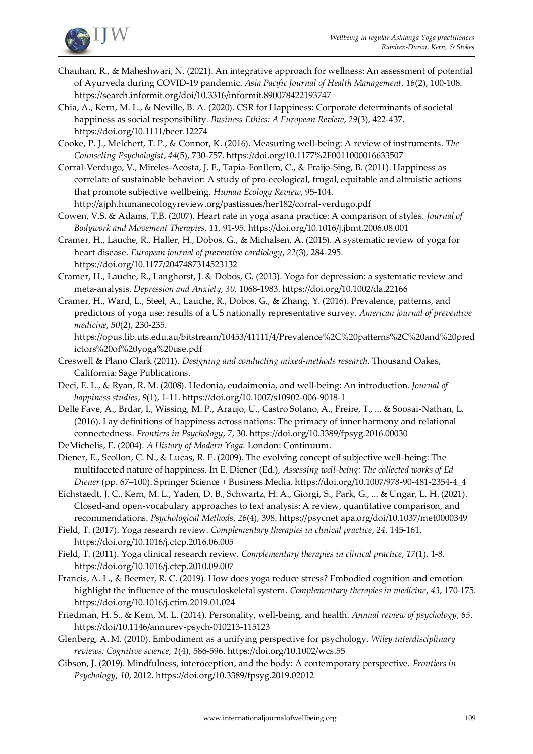

- Chauhan, R., & Maheshwari, N. (2021). An integrative approach for wellness: An assessment of potential of Ayurveda during COVID-19 pandemic. *Asia Pacific Journal of Health Management*, *16*(2), 100-108. <https://search.informit.org/doi/10.3316/informit.890078422193747>
- Chia, A., Kern, M. L., & Neville, B. A. (2020). CSR for Happiness: Corporate determinants of societal happiness as social responsibility. *Business Ethics: A European Review*, *29*(3), 422-437. <https://doi.org/10.1111/beer.12274>
- Cooke, P. J., Melchert, T. P., & Connor, K. (2016). Measuring well-being: A review of instruments. *The Counseling Psychologist*, *44*(5), 730-757[. https://doi.org/10.1177%2F0011000016633507](https://doi.org/10.1177%2F0011000016633507)
- Corral-Verdugo, V., Mireles-Acosta, J. F., Tapia-Fonllem, C., & Fraijo-Sing, B. (2011). Happiness as correlate of sustainable behavior: A study of pro-ecological, frugal, equitable and altruistic actions that promote subjective wellbeing. *Human Ecology Review*, 95-104. <http://ajph.humanecologyreview.org/pastissues/her182/corral-verdugo.pdf>

Cowen, V.S. & Adams, T.B. (2007). Heart rate in yoga asana practice: A comparison of styles. *Journal of Bodywork and Movement Therapies, 11,* 91-95[. https://doi.org/10.1016/j.jbmt.2006.08.001](https://doi.org/10.1016/j.jbmt.2006.08.001)

- Cramer, H., Lauche, R., Haller, H., Dobos, G., & Michalsen, A. (2015). A systematic review of yoga for heart disease. *European journal of preventive cardiology*, *22*(3), 284-295. <https://doi.org/10.1177/2047487314523132>
- Cramer, H., Lauche, R., Langhorst, J. & Dobos, G. (2013). Yoga for depression: a systematic review and meta-analysis. *Depression and Anxiety, 30,* 1068-1983[. https://doi.org/10.1002/da.22166](https://doi.org/10.1002/da.22166)
- Cramer, H., Ward, L., Steel, A., Lauche, R., Dobos, G., & Zhang, Y. (2016). Prevalence, patterns, and predictors of yoga use: results of a US nationally representative survey. *American journal of preventive medicine*, *50*(2), 230-235.

[https://opus.lib.uts.edu.au/bitstream/10453/41111/4/Prevalence%2C%20patterns%2C%20and%20pred](https://opus.lib.uts.edu.au/bitstream/10453/41111/4/Prevalence%2C%20patterns%2C%20and%20predictors%20of%20yoga%20use.pdf) [ictors%20of%20yoga%20use.pdf](https://opus.lib.uts.edu.au/bitstream/10453/41111/4/Prevalence%2C%20patterns%2C%20and%20predictors%20of%20yoga%20use.pdf)

- Creswell & Plano Clark (2011). *Designing and conducting mixed-methods research*. Thousand Oakes, California: Sage Publications.
- Deci, E. L., & Ryan, R. M. (2008). Hedonia, eudaimonia, and well-being: An introduction. *Journal of happiness studies*, *9*(1), 1-11[. https://doi.org/10.1007/s10902-006-9018-1](https://doi.org/10.1007/s10902-006-9018-1)
- Delle Fave, A., Brdar, I., Wissing, M. P., Araujo, U., Castro Solano, A., Freire, T., ... & Soosai-Nathan, L. (2016). Lay definitions of happiness across nations: The primacy of inner harmony and relational connectedness. *Frontiers in Psychology*, *7*, 30[. https://doi.org/10.3389/fpsyg.2016.00030](https://doi.org/10.3389/fpsyg.2016.00030)
- DeMichelis, E. (2004). *A History of Modern Yoga.* London: Continuum.
- Diener, E., Scollon, C. N., & Lucas, R. E. (2009). The evolving concept of subjective well-being: The multifaceted nature of happiness. In E. Diener (Ed.), *Assessing well-being: The collected works of Ed Diener* (pp. 67–100). Springer Science + Business Media. [https://doi.org/10.1007/978-90-481-2354-4\\_4](https://psycnet.apa.org/doi/10.1007/978-90-481-2354-4_4)
- Eichstaedt, J. C., Kern, M. L., Yaden, D. B., Schwartz, H. A., Giorgi, S., Park, G., ... & Ungar, L. H. (2021). Closed-and open-vocabulary approaches to text analysis: A review, quantitative comparison, and recommendations. *Psychological Methods*, *26*(4), 398[. https://psycnet apa.org/doi/10.1037/met0000349](https://psycnet.apa.org/doi/10.1037/met0000349)

Field, T. (2017). Yoga research review. *Complementary therapies in clinical practice*, *24*, 145-161. <https://doi.org/10.1016/j.ctcp.2016.06.005>

Field, T. (2011). Yoga clinical research review. *Complementary therapies in clinical practice*, *17*(1), 1-8. <https://doi.org/10.1016/j.ctcp.2010.09.007>

Francis, A. L., & Beemer, R. C. (2019). How does yoga reduce stress? Embodied cognition and emotion highlight the influence of the musculoskeletal system. *Complementary therapies in medicine*, *43*, 170-175. <https://doi.org/10.1016/j.ctim.2019.01.024>

Friedman, H. S., & Kern, M. L. (2014). Personality, well-being, and health. *Annual review of psychology*, *65*. <https://doi/10.1146/annurev-psych-010213-115123>

- Glenberg, A. M. (2010). Embodiment as a unifying perspective for psychology. *Wiley interdisciplinary reviews: Cognitive science*, *1*(4), 586-596[. https://doi.org/10.1002/wcs.55](https://doi.org/10.1002/wcs.55)
- Gibson, J. (2019). Mindfulness, interoception, and the body: A contemporary perspective. *Frontiers in Psychology*, *10*, 2012[. https://doi.org/10.3389/fpsyg.2019.02012](https://doi.org/10.3389/fpsyg.2019.02012)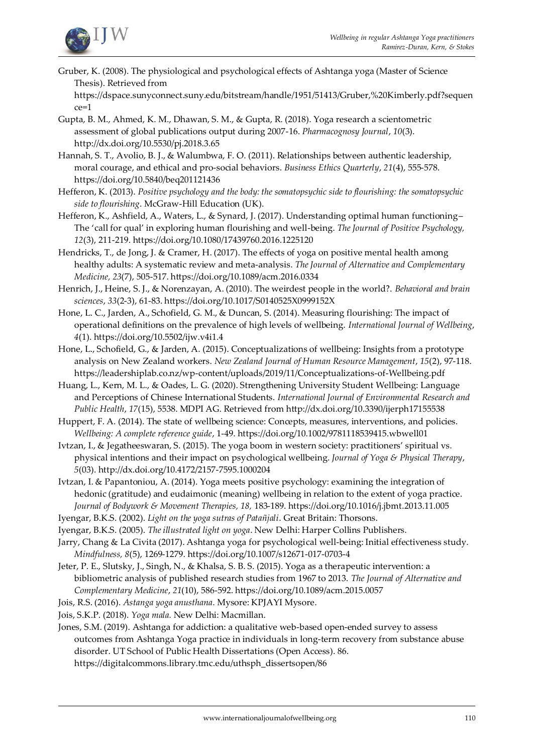

Gruber, K. (2008). The physiological and psychological effects of Ashtanga yoga (Master of Science Thesis). Retrieved from

[https://dspace.sunyconnect.suny.edu/bitstream/handle/1951/51413/Gruber,%20Kimberly.pdf?sequen](https://dspace.sunyconnect.suny.edu/bitstream/handle/1951/51413/Gruber,%20Kimberly.pdf?sequence=1) [ce=1](https://dspace.sunyconnect.suny.edu/bitstream/handle/1951/51413/Gruber,%20Kimberly.pdf?sequence=1)

- Gupta, B. M., Ahmed, K. M., Dhawan, S. M., & Gupta, R. (2018). Yoga research a scientometric assessment of global publications output during 2007-16. *Pharmacognosy Journal*, *10*(3). <http://dx.doi.org/10.5530/pj.2018.3.65>
- Hannah, S. T., Avolio, B. J., & Walumbwa, F. O. (2011). Relationships between authentic leadership, moral courage, and ethical and pro-social behaviors. *Business Ethics Quarterly*, *21*(4), 555-578. <https://doi.org/10.5840/beq201121436>

Hefferon, K. (2013). *Positive psychology and the body: the somatopsychic side to flourishing: the somatopsychic side to flourishing*. McGraw-Hill Education (UK).

- Hefferon, K., Ashfield, A., Waters, L., & Synard, J. (2017). Understanding optimal human functioning– The 'call for qual' in exploring human flourishing and well-being. *The Journal of Positive Psychology, 12*(3), 211-219[. https://doi.org/10.1080/17439760.2016.1225120](https://doi.org/10.1080/17439760.2016.1225120)
- Hendricks, T., de Jong, J. & Cramer, H. (2017). The effects of yoga on positive mental health among healthy adults: A systematic review and meta-analysis. *The Journal of Alternative and Complementary Medicine, 23*(7), 505-517[. https://doi.org/10.1089/acm.2016.0334](https://doi.org/10.1089/acm.2016.0334)
- Henrich, J., Heine, S. J., & Norenzayan, A. (2010). The weirdest people in the world?. *Behavioral and brain sciences*, *33*(2-3), 61-83[. https://doi.org/10.1017/S0140525X0999152X](https://doi.org/10.1017/S0140525X0999152X)
- Hone, L. C., Jarden, A., Schofield, G. M., & Duncan, S. (2014). Measuring flourishing: The impact of operational definitions on the prevalence of high levels of wellbeing. *International Journal of Wellbeing*, *4*(1)[. https://doi.org/10.5502/ijw.v4i1.4](https://doi.org/10.5502/ijw.v4i1.4)
- Hone, L., Schofield, G., & Jarden, A. (2015). Conceptualizations of wellbeing: Insights from a prototype analysis on New Zealand workers. *New Zealand Journal of Human Resource Management*, *15*(2), 97-118. <https://leadershiplab.co.nz/wp-content/uploads/2019/11/Conceptualizations-of-Wellbeing.pdf>
- Huang, L., Kern, M. L., & Oades, L. G. (2020). Strengthening University Student Wellbeing: Language and Perceptions of Chinese International Students. *International Journal of Environmental Research and Public Health*, *17*(15), 5538. MDPI AG. Retrieved fro[m http://dx.doi.org/10.3390/ijerph17155538](http://dx.doi.org/10.3390/ijerph17155538)
- Huppert, F. A. (2014). The state of wellbeing science: Concepts, measures, interventions, and policies. *Wellbeing: A complete reference guide*, 1-49[. https://doi.org/10.1002/9781118539415.wbwell01](https://doi.org/10.1002/9781118539415.wbwell01)
- Ivtzan, I., & Jegatheeswaran, S. (2015). The yoga boom in western society: practitioners' spiritual vs. physical intentions and their impact on psychological wellbeing. *Journal of Yoga & Physical Therapy*, *5*(03)[. http://dx.doi.org/10.4172/2157-7595.1000204](http://dx.doi.org/10.4172/2157-7595.1000204)
- Ivtzan, I. & Papantoniou, A. (2014). Yoga meets positive psychology: examining the integration of hedonic (gratitude) and eudaimonic (meaning) wellbeing in relation to the extent of yoga practice. *Journal of Bodywork & Movement Therapies, 18,* 183-189[. https://doi.org/10.1016/j.jbmt.2013.11.005](https://doi.org/10.1016/j.jbmt.2013.11.005)
- Iyengar, B.K.S. (2002). *Light on the yoga sutras of Patañjali*. Great Britain: Thorsons.
- Iyengar, B.K.S. (2005). *The illustrated light on yoga*. New Delhi: Harper Collins Publishers.
- Jarry, Chang & La Civita (2017). Ashtanga yoga for psychological well-being: Initial effectiveness study. *Mindfulness, 8*(5), 1269-1279[. https://doi.org/10.1007/s12671-017-0703-4](https://doi.org/10.1007/s12671-017-0703-4)
- Jeter, P. E., Slutsky, J., Singh, N., & Khalsa, S. B. S. (2015). Yoga as a therapeutic intervention: a bibliometric analysis of published research studies from 1967 to 2013. *The Journal of Alternative and Complementary Medicine*, *21*(10), 586-592[. https://doi.org/10.1089/acm.2015.0057](https://doi.org/10.1089/acm.2015.0057)
- Jois, R.S. (2016). *Astanga yoga anusthana*. Mysore: KPJAYI Mysore.
- Jois, S.K.P. (2018). *Yoga mala.* New Delhi: Macmillan.
- Jones, S.M. (2019). Ashtanga for addiction: a qualitative web-based open-ended survey to assess outcomes from Ashtanga Yoga practice in individuals in long-term recovery from substance abuse disorder. UT School of Public Health Dissertations (Open Access). 86. [https://digitalcommons.library.tmc.edu/uthsph\\_dissertsopen/86](https://digitalcommons.library.tmc.edu/uthsph_dissertsopen/86) 
	- [www.internationaljournalofwellbeing.org](http://www.internationaljournalofwellbeing.org/) 110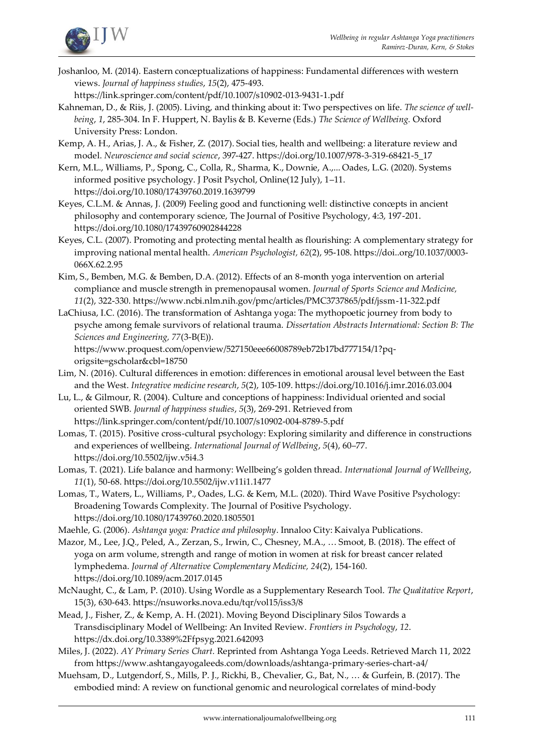

Joshanloo, M. (2014). Eastern conceptualizations of happiness: Fundamental differences with western views. *Journal of happiness studies*, *15*(2), 475-493.

<https://link.springer.com/content/pdf/10.1007/s10902-013-9431-1.pdf>

Kahneman, D., & Riis, J. (2005). Living, and thinking about it: Two perspectives on life. *The science of wellbeing*, *1*, 285-304. In F. Huppert, N. Baylis & B. Keverne (Eds.) *The Science of Wellbeing.* Oxford University Press: London.

Kemp, A. H., Arias, J. A., & Fisher, Z. (2017). Social ties, health and wellbeing: a literature review and model. *Neuroscience and social science*, 397-427[. https://doi.org/10.1007/978-3-319-68421-5\\_17](https://doi.org/10.1007/978-3-319-68421-5_17)

Kern, M.L., Williams, P., Spong, C., Colla, R., Sharma, K., Downie, A.,... Oades, L.G. (2020). Systems informed positive psychology. J Posit Psychol, Online(12 July), 1–11. <https://doi.org/10.1080/17439760.2019.1639799>

Keyes, C.L.M. & Annas, J. (2009) Feeling good and functioning well: distinctive concepts in ancient philosophy and contemporary science, The Journal of Positive Psychology, 4:3, 197-201. <https://doi.org/10.1080/17439760902844228>

- Keyes, C.L. (2007). Promoting and protecting mental health as flourishing: A complementary strategy for improving national mental health. *American Psychologist, 62*(2), 95-108[. https://doi..org/10.1037/0003-](https://doi..org/10.1037/0003-066X.62.2.95) [066X.62.2.95](https://doi..org/10.1037/0003-066X.62.2.95)
- Kim, S., Bemben, M.G. & Bemben, D.A. (2012). Effects of an 8-month yoga intervention on arterial compliance and muscle strength in premenopausal women. *Journal of Sports Science and Medicine, 11*(2), 322-330[. https://www.ncbi.nlm.nih.gov/pmc/articles/PMC3737865/pdf/jssm-11-322.pdf](https://www.ncbi.nlm.nih.gov/pmc/articles/PMC3737865/pdf/jssm-11-322.pdf)
- LaChiusa, I.C. (2016). The transformation of Ashtanga yoga: The mythopoetic journey from body to psyche among female survivors of relational trauma. *Dissertation Abstracts International: Section B: The Sciences and Engineering, 77*(3-B(E)).

[https://www.proquest.com/openview/527150eee66008789eb72b17bd777154/1?pq](https://www.proquest.com/openview/527150eee66008789eb72b17bd777154/1?pq-origsite=gscholar&cbl=18750)[origsite=gscholar&cbl=18750](https://www.proquest.com/openview/527150eee66008789eb72b17bd777154/1?pq-origsite=gscholar&cbl=18750)

- Lim, N. (2016). Cultural differences in emotion: differences in emotional arousal level between the East and the West. *Integrative medicine research*, *5*(2), 105-109[. https://doi.org/10.1016/j.imr.2016.03.004](https://doi.org/10.1016/j.imr.2016.03.004)
- Lu, L., & Gilmour, R. (2004). Culture and conceptions of happiness: Individual oriented and social oriented SWB. *Journal of happiness studies*, *5*(3), 269-291. Retrieved from <https://link.springer.com/content/pdf/10.1007/s10902-004-8789-5.pdf>
- Lomas, T. (2015). Positive cross-cultural psychology: Exploring similarity and difference in constructions and experiences of wellbeing. *International Journal of Wellbeing*, *5*(4), 60–77. <https://doi.org/10.5502/ijw.v5i4.3>
- Lomas, T. (2021). Life balance and harmony: Wellbeing's golden thread. *International Journal of Wellbeing*, *11*(1), 50-68[. https://doi.org/10.5502/ijw.v11i1.1477](https://doi.org/10.5502/ijw.v11i1.1477)
- Lomas, T., Waters, L., Williams, P., Oades, L.G. & Kern, M.L. (2020). Third Wave Positive Psychology: Broadening Towards Complexity. The Journal of Positive Psychology. <https://doi.org/10.1080/17439760.2020.1805501>

Maehle, G. (2006). *Ashtanga yoga: Practice and philosophy*. Innaloo City: Kaivalya Publications.

Mazor, M., Lee, J.Q., Peled, A., Zerzan, S., Irwin, C., Chesney, M.A., … Smoot, B. (2018). The effect of yoga on arm volume, strength and range of motion in women at risk for breast cancer related lymphedema. *Journal of Alternative Complementary Medicine, 24*(2), 154-160. <https://doi.org/10.1089/acm.2017.0145>

- McNaught, C., & Lam, P. (2010). Using Wordle as a Supplementary Research Tool. *The Qualitative Report*, 15(3), 630-643[. https://nsuworks.nova.edu/tqr/vol15/iss3/8](https://nsuworks.nova.edu/tqr/vol15/iss3/8)
- Mead, J., Fisher, Z., & Kemp, A. H. (2021). Moving Beyond Disciplinary Silos Towards a Transdisciplinary Model of Wellbeing: An Invited Review. *Frontiers in Psychology*, *12*. <https://dx.doi.org/10.3389%2Ffpsyg.2021.642093>
- Miles, J. (2022). *AY Primary Series Chart.* Reprinted from Ashtanga Yoga Leeds. Retrieved March 11, 2022 from<https://www.ashtangayogaleeds.com/downloads/ashtanga-primary-series-chart-a4/>
- Muehsam, D., Lutgendorf, S., Mills, P. J., Rickhi, B., Chevalier, G., Bat, N., … & Gurfein, B. (2017). The embodied mind: A review on functional genomic and neurological correlates of mind-body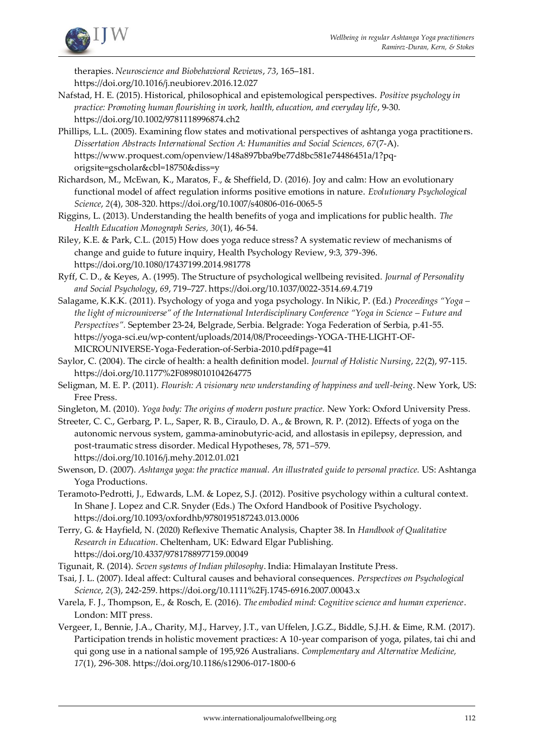

therapies. *Neuroscience and Biobehavioral Reviews*, *73*, 165–181. <https://doi.org/10.1016/j.neubiorev.2016.12.027>

- Nafstad, H. E. (2015). Historical, philosophical and epistemological perspectives. *Positive psychology in practice: Promoting human flourishing in work, health, education, and everyday life*, 9-30. <https://doi.org/10.1002/9781118996874.ch2>
- Phillips, L.L. (2005). Examining flow states and motivational perspectives of ashtanga yoga practitioners. *Dissertation Abstracts International Section A: Humanities and Social Sciences, 67*(7-A). [https://www.proquest.com/openview/148a897bba9be77d8bc581e74486451a/1?pq](https://www.proquest.com/openview/148a897bba9be77d8bc581e74486451a/1?pq-origsite=gscholar&cbl=18750&diss=y)[origsite=gscholar&cbl=18750&diss=y](https://www.proquest.com/openview/148a897bba9be77d8bc581e74486451a/1?pq-origsite=gscholar&cbl=18750&diss=y)
- Richardson, M., McEwan, K., Maratos, F., & Sheffield, D. (2016). Joy and calm: How an evolutionary functional model of affect regulation informs positive emotions in nature. *Evolutionary Psychological Science*, *2*(4), 308-320[. https://doi.org/10.1007/s40806-016-0065-5](https://doi.org/10.1007/s40806-016-0065-5)
- Riggins, L. (2013). Understanding the health benefits of yoga and implications for public health. *The Health Education Monograph Series, 30*(1), 46-54.
- Riley, K.E. & Park, C.L. (2015) How does yoga reduce stress? A systematic review of mechanisms of change and guide to future inquiry, Health Psychology Review, 9:3, 379-396. <https://doi.org/10.1080/17437199.2014.981778>
- Ryff, C. D., & Keyes, A. (1995). The Structure of psychological wellbeing revisited. *Journal of Personality and Social Psychology*, *69*, 719–727[. https://doi.org/10.1037/0022-3514.69.4.719](https://doi.org/10.1037/0022-3514.69.4.719)
- Salagame, K.K.K. (2011). Psychology of yoga and yoga psychology. In Nikic, P. (Ed.) *Proceedings "Yoga – the light of microuniverse" of the International Interdisciplinary Conference "Yoga in Science – Future and Perspectives".* September 23-24, Belgrade, Serbia. Belgrade: Yoga Federation of Serbia, p.41-55. [https://yoga-sci.eu/wp-content/uploads/2014/08/Proceedings-YOGA-THE-LIGHT-OF-](https://yoga-sci.eu/wp-content/uploads/2014/08/Proceedings-YOGA-THE-LIGHT-OF-MICROUNIVERSE-Yoga-Federation-of-Serbia-2010.pdf#page=41)[MICROUNIVERSE-Yoga-Federation-of-Serbia-2010.pdf#page=41](https://yoga-sci.eu/wp-content/uploads/2014/08/Proceedings-YOGA-THE-LIGHT-OF-MICROUNIVERSE-Yoga-Federation-of-Serbia-2010.pdf#page=41)
- Saylor, C. (2004). The circle of health: a health definition model. *Journal of Holistic Nursing*, *22*(2), 97-115. <https://doi.org/10.1177%2F0898010104264775>
- Seligman, M. E. P. (2011). *Flourish: A visionary new understanding of happiness and well-being*. New York, US: Free Press.
- Singleton, M. (2010). *Yoga body: The origins of modern posture practice.* New York: Oxford University Press.
- Streeter, C. C., Gerbarg, P. L., Saper, R. B., Ciraulo, D. A., & Brown, R. P. (2012). Effects of yoga on the autonomic nervous system, gamma-aminobutyric-acid, and allostasis in epilepsy, depression, and post-traumatic stress disorder. Medical Hypotheses, 78, 571–579. <https://doi.org/10.1016/j.mehy.2012.01.021>
- Swenson, D. (2007). *Ashtanga yoga: the practice manual. An illustrated guide to personal practice.* US: Ashtanga Yoga Productions.
- Teramoto-Pedrotti, J., Edwards, L.M. & Lopez, S.J. (2012). Positive psychology within a cultural context. In Shane J. Lopez and C.R. Snyder (Eds.) The Oxford Handbook of Positive Psychology. <https://doi.org/10.1093/oxfordhb/9780195187243.013.0006>
- Terry, G. & Hayfield, N. (2020) Reflexive Thematic Analysis, Chapter 38. In *Handbook of Qualitative Research in Education*. Cheltenham, UK: Edward Elgar Publishing. <https://doi.org/10.4337/9781788977159.00049>
- Tigunait, R. (2014). *Seven systems of Indian philosophy*. India: Himalayan Institute Press.
- Tsai, J. L. (2007). Ideal affect: Cultural causes and behavioral consequences. *Perspectives on Psychological Science*, *2*(3), 242-259[. https://doi.org/10.1111%2Fj.1745-6916.2007.00043.x](https://doi.org/10.1111%2Fj.1745-6916.2007.00043.x)
- Varela, F. J., Thompson, E., & Rosch, E. (2016). *The embodied mind: Cognitive science and human experience*. London: MIT press.
- Vergeer, I., Bennie, J.A., Charity, M.J., Harvey, J.T., van Uffelen, J.G.Z., Biddle, S.J.H. & Eime, R.M. (2017). Participation trends in holistic movement practices: A 10-year comparison of yoga, pilates, tai chi and qui gong use in a national sample of 195,926 Australians. *Complementary and Alternative Medicine, 17*(1), 296-308[. https://doi.org/10.1186/s12906-017-1800-6](https://doi.org/10.1186/s12906-017-1800-6)